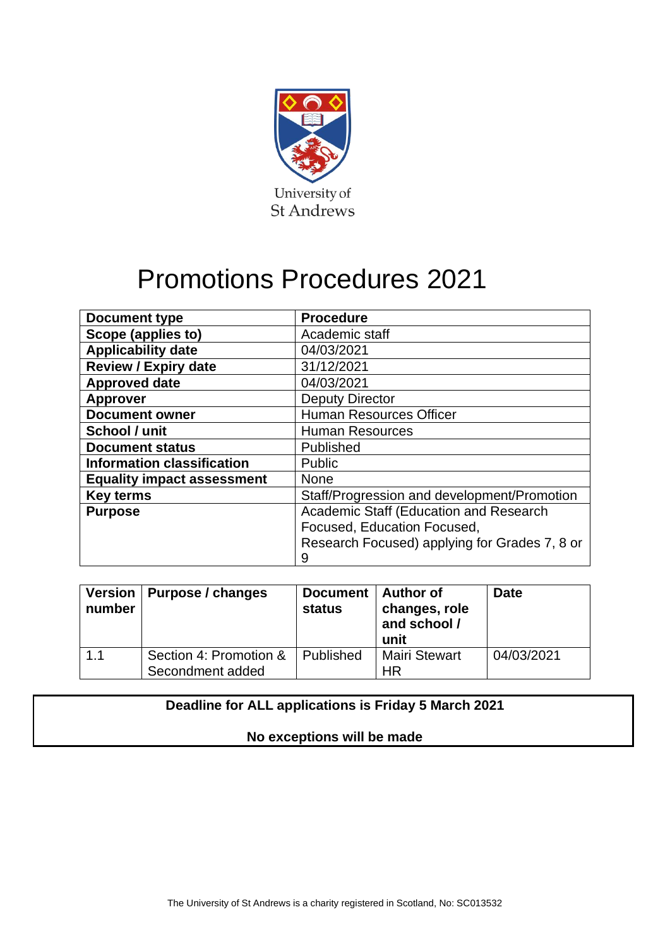

# Promotions Procedures 2021

| Document type                     | <b>Procedure</b>                              |
|-----------------------------------|-----------------------------------------------|
| Scope (applies to)                | Academic staff                                |
| <b>Applicability date</b>         | 04/03/2021                                    |
| <b>Review / Expiry date</b>       | 31/12/2021                                    |
| <b>Approved date</b>              | 04/03/2021                                    |
| <b>Approver</b>                   | <b>Deputy Director</b>                        |
| <b>Document owner</b>             | <b>Human Resources Officer</b>                |
| School / unit                     | <b>Human Resources</b>                        |
| <b>Document status</b>            | Published                                     |
| <b>Information classification</b> | Public                                        |
| <b>Equality impact assessment</b> | <b>None</b>                                   |
| <b>Key terms</b>                  | Staff/Progression and development/Promotion   |
| <b>Purpose</b>                    | Academic Staff (Education and Research        |
|                                   | Focused, Education Focused,                   |
|                                   | Research Focused) applying for Grades 7, 8 or |
|                                   | 9                                             |

| number | Version   Purpose / changes                | Document   Author of<br><b>status</b> | changes, role<br>and school /<br>unit | <b>Date</b> |
|--------|--------------------------------------------|---------------------------------------|---------------------------------------|-------------|
| 1.1    | Section 4: Promotion &<br>Secondment added | Published                             | <b>Mairi Stewart</b><br><b>HR</b>     | 04/03/2021  |

### **Deadline for ALL applications is Friday 5 March 2021**

#### **No exceptions will be made**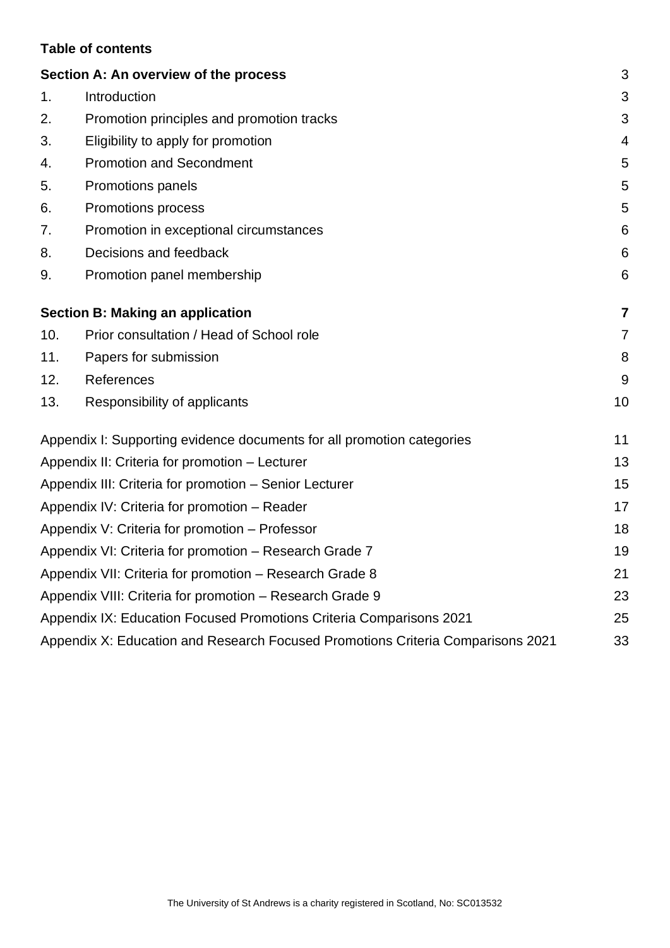#### **Table of contents**

|     | Section A: An overview of the process                                           | 3               |
|-----|---------------------------------------------------------------------------------|-----------------|
| 1.  | Introduction                                                                    | 3               |
| 2.  | Promotion principles and promotion tracks                                       | 3               |
| 3.  | Eligibility to apply for promotion                                              | $\overline{4}$  |
| 4.  | <b>Promotion and Secondment</b>                                                 | 5               |
| 5.  | Promotions panels                                                               | 5               |
| 6.  | Promotions process                                                              | 5               |
| 7.  | Promotion in exceptional circumstances                                          | 6               |
| 8.  | Decisions and feedback                                                          | 6               |
| 9.  | Promotion panel membership                                                      | $6\phantom{1}6$ |
|     | <b>Section B: Making an application</b>                                         | $\overline{7}$  |
| 10. | Prior consultation / Head of School role                                        | $\overline{7}$  |
| 11. | Papers for submission                                                           | 8               |
| 12. | References                                                                      | 9               |
| 13. | Responsibility of applicants                                                    | 10              |
|     | Appendix I: Supporting evidence documents for all promotion categories          | 11              |
|     | Appendix II: Criteria for promotion - Lecturer                                  | 13              |
|     | Appendix III: Criteria for promotion - Senior Lecturer                          | 15              |
|     | Appendix IV: Criteria for promotion - Reader                                    | 17              |
|     | Appendix V: Criteria for promotion - Professor                                  | 18              |
|     | Appendix VI: Criteria for promotion - Research Grade 7                          | 19              |
|     | Appendix VII: Criteria for promotion - Research Grade 8                         | 21              |
|     | Appendix VIII: Criteria for promotion - Research Grade 9                        | 23              |
|     | Appendix IX: Education Focused Promotions Criteria Comparisons 2021             | 25              |
|     | Appendix X: Education and Research Focused Promotions Criteria Comparisons 2021 | 33              |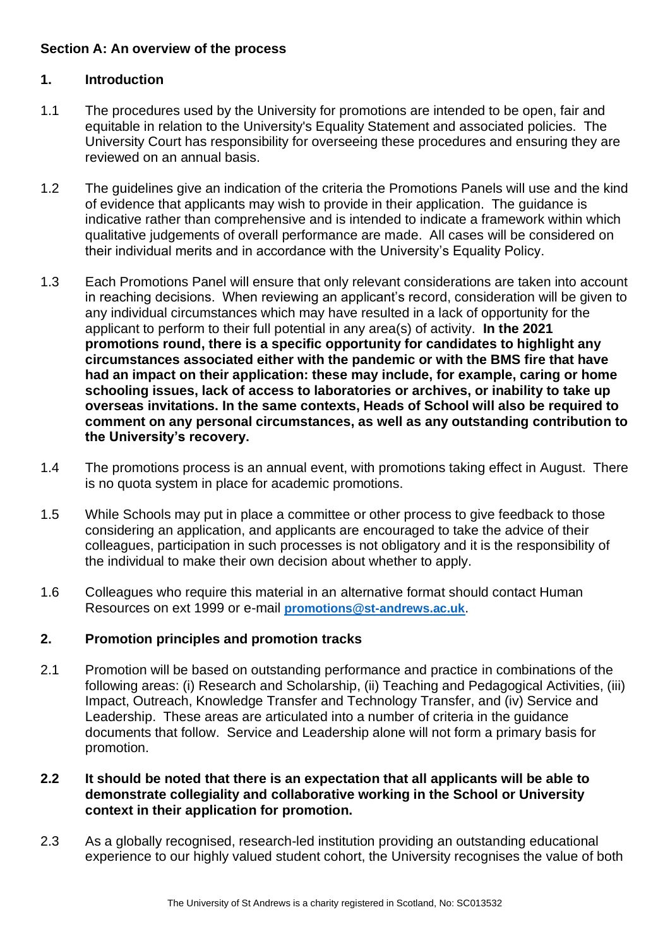#### <span id="page-2-0"></span>**Section A: An overview of the process**

#### <span id="page-2-1"></span>**1. Introduction**

- 1.1 The procedures used by the University for promotions are intended to be open, fair and equitable in relation to the University's Equality Statement and associated policies. The University Court has responsibility for overseeing these procedures and ensuring they are reviewed on an annual basis.
- 1.2 The guidelines give an indication of the criteria the Promotions Panels will use and the kind of evidence that applicants may wish to provide in their application. The guidance is indicative rather than comprehensive and is intended to indicate a framework within which qualitative judgements of overall performance are made. All cases will be considered on their individual merits and in accordance with the University's Equality Policy.
- 1.3 Each Promotions Panel will ensure that only relevant considerations are taken into account in reaching decisions. When reviewing an applicant's record, consideration will be given to any individual circumstances which may have resulted in a lack of opportunity for the applicant to perform to their full potential in any area(s) of activity. **In the 2021 promotions round, there is a specific opportunity for candidates to highlight any circumstances associated either with the pandemic or with the BMS fire that have had an impact on their application: these may include, for example, caring or home schooling issues, lack of access to laboratories or archives, or inability to take up overseas invitations. In the same contexts, Heads of School will also be required to comment on any personal circumstances, as well as any outstanding contribution to the University's recovery.**
- 1.4 The promotions process is an annual event, with promotions taking effect in August. There is no quota system in place for academic promotions.
- 1.5 While Schools may put in place a committee or other process to give feedback to those considering an application, and applicants are encouraged to take the advice of their colleagues, participation in such processes is not obligatory and it is the responsibility of the individual to make their own decision about whether to apply.
- 1.6 Colleagues who require this material in an alternative format should contact Human Resources on ext 1999 or e-mail **[promotions@st-andrews.ac.uk](mailto:promotions@st-andrews.ac.uk)**.

#### <span id="page-2-2"></span>**2. Promotion principles and promotion tracks**

2.1 Promotion will be based on outstanding performance and practice in combinations of the following areas: (i) Research and Scholarship, (ii) Teaching and Pedagogical Activities, (iii) Impact, Outreach, Knowledge Transfer and Technology Transfer, and (iv) Service and Leadership. These areas are articulated into a number of criteria in the guidance documents that follow. Service and Leadership alone will not form a primary basis for promotion.

#### **2.2 It should be noted that there is an expectation that all applicants will be able to demonstrate collegiality and collaborative working in the School or University context in their application for promotion.**

2.3 As a globally recognised, research-led institution providing an outstanding educational experience to our highly valued student cohort, the University recognises the value of both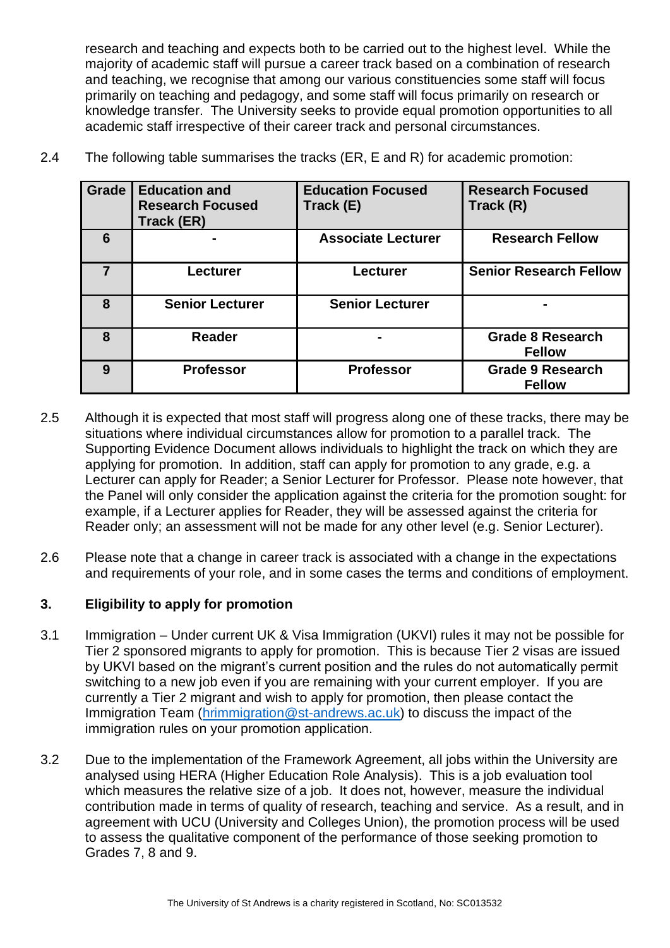research and teaching and expects both to be carried out to the highest level. While the majority of academic staff will pursue a career track based on a combination of research and teaching, we recognise that among our various constituencies some staff will focus primarily on teaching and pedagogy, and some staff will focus primarily on research or knowledge transfer. The University seeks to provide equal promotion opportunities to all academic staff irrespective of their career track and personal circumstances.

| Grade          | <b>Education and</b><br><b>Research Focused</b><br>Track (ER) | <b>Education Focused</b><br>Track (E) | <b>Research Focused</b><br>Track (R)     |
|----------------|---------------------------------------------------------------|---------------------------------------|------------------------------------------|
| 6              |                                                               | <b>Associate Lecturer</b>             | <b>Research Fellow</b>                   |
| $\overline{7}$ | Lecturer                                                      | Lecturer                              | <b>Senior Research Fellow</b>            |
| 8              | <b>Senior Lecturer</b>                                        | <b>Senior Lecturer</b>                |                                          |
| 8              | Reader                                                        |                                       | <b>Grade 8 Research</b><br><b>Fellow</b> |
| 9              | <b>Professor</b>                                              | <b>Professor</b>                      | <b>Grade 9 Research</b><br><b>Fellow</b> |

2.4 The following table summarises the tracks (ER, E and R) for academic promotion:

- 2.5 Although it is expected that most staff will progress along one of these tracks, there may be situations where individual circumstances allow for promotion to a parallel track. The Supporting Evidence Document allows individuals to highlight the track on which they are applying for promotion. In addition, staff can apply for promotion to any grade, e.g. a Lecturer can apply for Reader; a Senior Lecturer for Professor. Please note however, that the Panel will only consider the application against the criteria for the promotion sought: for example, if a Lecturer applies for Reader, they will be assessed against the criteria for Reader only; an assessment will not be made for any other level (e.g. Senior Lecturer).
- 2.6 Please note that a change in career track is associated with a change in the expectations and requirements of your role, and in some cases the terms and conditions of employment.

#### <span id="page-3-0"></span>**3. Eligibility to apply for promotion**

- 3.1 Immigration Under current UK & Visa Immigration (UKVI) rules it may not be possible for Tier 2 sponsored migrants to apply for promotion. This is because Tier 2 visas are issued by UKVI based on the migrant's current position and the rules do not automatically permit switching to a new job even if you are remaining with your current employer. If you are currently a Tier 2 migrant and wish to apply for promotion, then please contact the Immigration Team [\(hrimmigration@st-andrews.ac.uk\)](mailto:hrimmigration@st-andrews.ac.uk) to discuss the impact of the immigration rules on your promotion application.
- 3.2 Due to the implementation of the Framework Agreement, all jobs within the University are analysed using HERA (Higher Education Role Analysis). This is a job evaluation tool which measures the relative size of a job. It does not, however, measure the individual contribution made in terms of quality of research, teaching and service. As a result, and in agreement with UCU (University and Colleges Union), the promotion process will be used to assess the qualitative component of the performance of those seeking promotion to Grades 7, 8 and 9.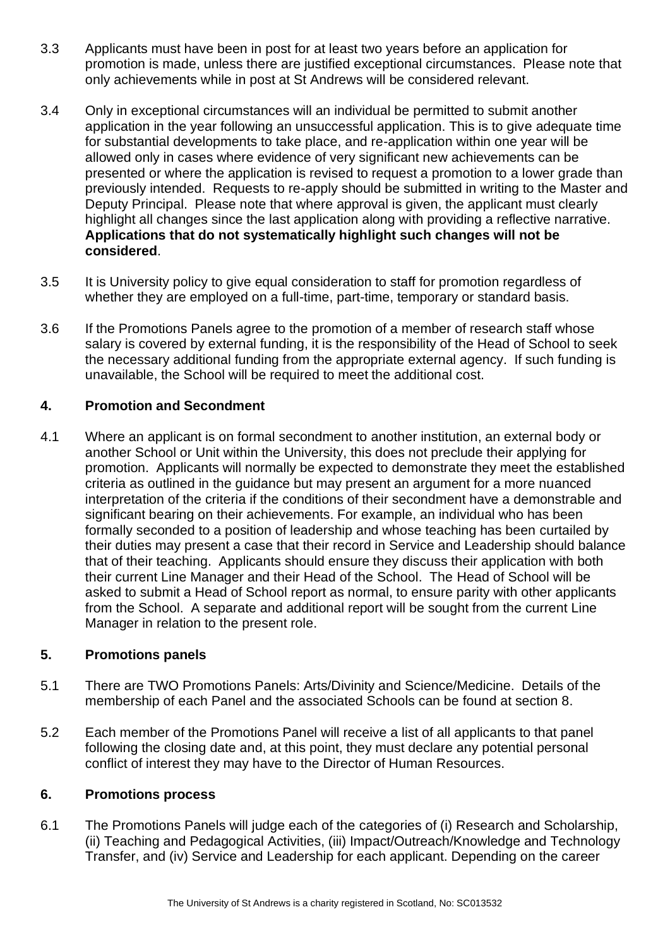- 3.3 Applicants must have been in post for at least two years before an application for promotion is made, unless there are justified exceptional circumstances. Please note that only achievements while in post at St Andrews will be considered relevant.
- 3.4 Only in exceptional circumstances will an individual be permitted to submit another application in the year following an unsuccessful application. This is to give adequate time for substantial developments to take place, and re-application within one year will be allowed only in cases where evidence of very significant new achievements can be presented or where the application is revised to request a promotion to a lower grade than previously intended. Requests to re-apply should be submitted in writing to the Master and Deputy Principal. Please note that where approval is given, the applicant must clearly highlight all changes since the last application along with providing a reflective narrative. **Applications that do not systematically highlight such changes will not be considered**.
- 3.5 It is University policy to give equal consideration to staff for promotion regardless of whether they are employed on a full-time, part-time, temporary or standard basis.
- 3.6 If the Promotions Panels agree to the promotion of a member of research staff whose salary is covered by external funding, it is the responsibility of the Head of School to seek the necessary additional funding from the appropriate external agency. If such funding is unavailable, the School will be required to meet the additional cost.

#### <span id="page-4-0"></span>**4. Promotion and Secondment**

4.1 Where an applicant is on formal secondment to another institution, an external body or another School or Unit within the University, this does not preclude their applying for promotion. Applicants will normally be expected to demonstrate they meet the established criteria as outlined in the guidance but may present an argument for a more nuanced interpretation of the criteria if the conditions of their secondment have a demonstrable and significant bearing on their achievements. For example, an individual who has been formally seconded to a position of leadership and whose teaching has been curtailed by their duties may present a case that their record in Service and Leadership should balance that of their teaching. Applicants should ensure they discuss their application with both their current Line Manager and their Head of the School. The Head of School will be asked to submit a Head of School report as normal, to ensure parity with other applicants from the School. A separate and additional report will be sought from the current Line Manager in relation to the present role.

#### <span id="page-4-1"></span>**5. Promotions panels**

- 5.1 There are TWO Promotions Panels: Arts/Divinity and Science/Medicine. Details of the membership of each Panel and the associated Schools can be found at section 8.
- 5.2 Each member of the Promotions Panel will receive a list of all applicants to that panel following the closing date and, at this point, they must declare any potential personal conflict of interest they may have to the Director of Human Resources.

#### <span id="page-4-2"></span>**6. Promotions process**

6.1 The Promotions Panels will judge each of the categories of (i) Research and Scholarship, (ii) Teaching and Pedagogical Activities, (iii) Impact/Outreach/Knowledge and Technology Transfer, and (iv) Service and Leadership for each applicant. Depending on the career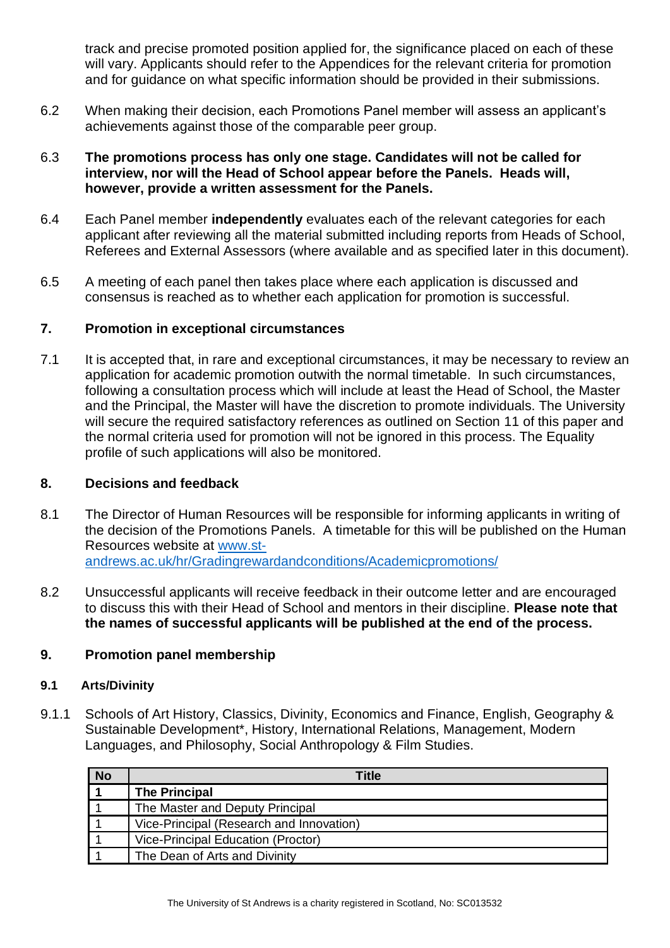track and precise promoted position applied for, the significance placed on each of these will vary. Applicants should refer to the Appendices for the relevant criteria for promotion and for guidance on what specific information should be provided in their submissions.

6.2 When making their decision, each Promotions Panel member will assess an applicant's achievements against those of the comparable peer group.

#### 6.3 **The promotions process has only one stage. Candidates will not be called for interview, nor will the Head of School appear before the Panels. Heads will, however, provide a written assessment for the Panels.**

- 6.4 Each Panel member **independently** evaluates each of the relevant categories for each applicant after reviewing all the material submitted including reports from Heads of School, Referees and External Assessors (where available and as specified later in this document).
- 6.5 A meeting of each panel then takes place where each application is discussed and consensus is reached as to whether each application for promotion is successful.

#### <span id="page-5-0"></span>**7. Promotion in exceptional circumstances**

7.1 It is accepted that, in rare and exceptional circumstances, it may be necessary to review an application for academic promotion outwith the normal timetable. In such circumstances, following a consultation process which will include at least the Head of School, the Master and the Principal, the Master will have the discretion to promote individuals. The University will secure the required satisfactory references as outlined on Section 11 of this paper and the normal criteria used for promotion will not be ignored in this process. The Equality profile of such applications will also be monitored.

#### <span id="page-5-1"></span>**8. Decisions and feedback**

- 8.1 The Director of Human Resources will be responsible for informing applicants in writing of the decision of the Promotions Panels. A timetable for this will be published on the Human Resources website at [www.st](http://www.st-andrews.ac.uk/hr/Gradingrewardandconditions/Academicpromotions/)[andrews.ac.uk/hr/Gradingrewardandconditions/Academicpromotions/](http://www.st-andrews.ac.uk/hr/Gradingrewardandconditions/Academicpromotions/)
- 8.2 Unsuccessful applicants will receive feedback in their outcome letter and are encouraged to discuss this with their Head of School and mentors in their discipline. **Please note that the names of successful applicants will be published at the end of the process.**

#### <span id="page-5-2"></span>**9. Promotion panel membership**

#### **9.1 Arts/Divinity**

9.1.1 Schools of Art History, Classics, Divinity, Economics and Finance, English, Geography & Sustainable Development\*, History, International Relations, Management, Modern Languages, and Philosophy, Social Anthropology & Film Studies.

| <b>No</b> | Title                                    |
|-----------|------------------------------------------|
|           | <b>The Principal</b>                     |
|           | The Master and Deputy Principal          |
|           | Vice-Principal (Research and Innovation) |
|           | Vice-Principal Education (Proctor)       |
|           | The Dean of Arts and Divinity            |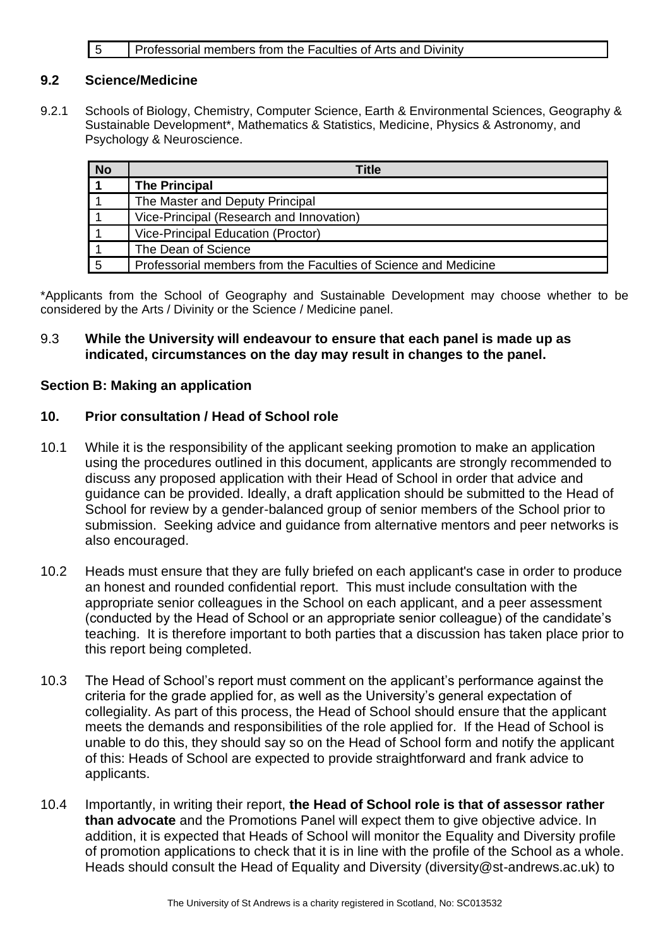#### **5** Professorial members from the Faculties of Arts and Divinity

#### **9.2 Science/Medicine**

9.2.1 Schools of Biology, Chemistry, Computer Science, Earth & Environmental Sciences, Geography & Sustainable Development\*, Mathematics & Statistics, Medicine, Physics & Astronomy, and Psychology & Neuroscience.

| <b>No</b>      | Title                                                           |
|----------------|-----------------------------------------------------------------|
|                | <b>The Principal</b>                                            |
|                | The Master and Deputy Principal                                 |
|                | Vice-Principal (Research and Innovation)                        |
|                | Vice-Principal Education (Proctor)                              |
|                | The Dean of Science                                             |
| $\overline{5}$ | Professorial members from the Faculties of Science and Medicine |

\*Applicants from the School of Geography and Sustainable Development may choose whether to be considered by the Arts / Divinity or the Science / Medicine panel.

#### 9.3 **While the University will endeavour to ensure that each panel is made up as indicated, circumstances on the day may result in changes to the panel.**

#### <span id="page-6-0"></span>**Section B: Making an application**

#### <span id="page-6-1"></span>**10. Prior consultation / Head of School role**

- 10.1 While it is the responsibility of the applicant seeking promotion to make an application using the procedures outlined in this document, applicants are strongly recommended to discuss any proposed application with their Head of School in order that advice and guidance can be provided. Ideally, a draft application should be submitted to the Head of School for review by a gender-balanced group of senior members of the School prior to submission. Seeking advice and guidance from alternative mentors and peer networks is also encouraged.
- 10.2 Heads must ensure that they are fully briefed on each applicant's case in order to produce an honest and rounded confidential report. This must include consultation with the appropriate senior colleagues in the School on each applicant, and a peer assessment (conducted by the Head of School or an appropriate senior colleague) of the candidate's teaching. It is therefore important to both parties that a discussion has taken place prior to this report being completed.
- 10.3 The Head of School's report must comment on the applicant's performance against the criteria for the grade applied for, as well as the University's general expectation of collegiality. As part of this process, the Head of School should ensure that the applicant meets the demands and responsibilities of the role applied for. If the Head of School is unable to do this, they should say so on the Head of School form and notify the applicant of this: Heads of School are expected to provide straightforward and frank advice to applicants.
- 10.4 Importantly, in writing their report, **the Head of School role is that of assessor rather than advocate** and the Promotions Panel will expect them to give objective advice. In addition, it is expected that Heads of School will monitor the Equality and Diversity profile of promotion applications to check that it is in line with the profile of the School as a whole. Heads should consult the Head of Equality and Diversity (diversity@st-andrews.ac.uk) to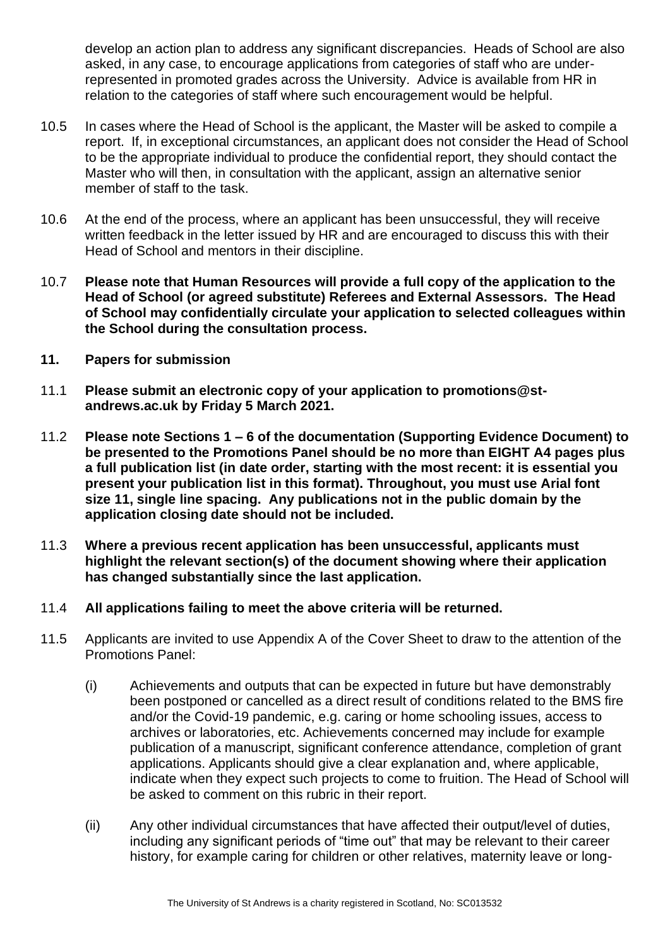develop an action plan to address any significant discrepancies. Heads of School are also asked, in any case, to encourage applications from categories of staff who are underrepresented in promoted grades across the University. Advice is available from HR in relation to the categories of staff where such encouragement would be helpful.

- 10.5 In cases where the Head of School is the applicant, the Master will be asked to compile a report. If, in exceptional circumstances, an applicant does not consider the Head of School to be the appropriate individual to produce the confidential report, they should contact the Master who will then, in consultation with the applicant, assign an alternative senior member of staff to the task.
- 10.6 At the end of the process, where an applicant has been unsuccessful, they will receive written feedback in the letter issued by HR and are encouraged to discuss this with their Head of School and mentors in their discipline.
- 10.7 **Please note that Human Resources will provide a full copy of the application to the Head of School (or agreed substitute) Referees and External Assessors. The Head of School may confidentially circulate your application to selected colleagues within the School during the consultation process.**
- <span id="page-7-0"></span>**11. Papers for submission**
- 11.1 **Please submit an electronic copy of your application to promotions@standrews.ac.uk by Friday 5 March 2021.**
- 11.2 **Please note Sections 1 – 6 of the documentation (Supporting Evidence Document) to be presented to the Promotions Panel should be no more than EIGHT A4 pages plus a full publication list (in date order, starting with the most recent: it is essential you present your publication list in this format). Throughout, you must use Arial font size 11, single line spacing. Any publications not in the public domain by the application closing date should not be included.**
- 11.3 **Where a previous recent application has been unsuccessful, applicants must highlight the relevant section(s) of the document showing where their application has changed substantially since the last application.**
- 11.4 **All applications failing to meet the above criteria will be returned.**
- 11.5 Applicants are invited to use Appendix A of the Cover Sheet to draw to the attention of the Promotions Panel:
	- (i) Achievements and outputs that can be expected in future but have demonstrably been postponed or cancelled as a direct result of conditions related to the BMS fire and/or the Covid-19 pandemic, e.g. caring or home schooling issues, access to archives or laboratories, etc. Achievements concerned may include for example publication of a manuscript, significant conference attendance, completion of grant applications. Applicants should give a clear explanation and, where applicable, indicate when they expect such projects to come to fruition. The Head of School will be asked to comment on this rubric in their report.
	- (ii) Any other individual circumstances that have affected their output/level of duties, including any significant periods of "time out" that may be relevant to their career history, for example caring for children or other relatives, maternity leave or long-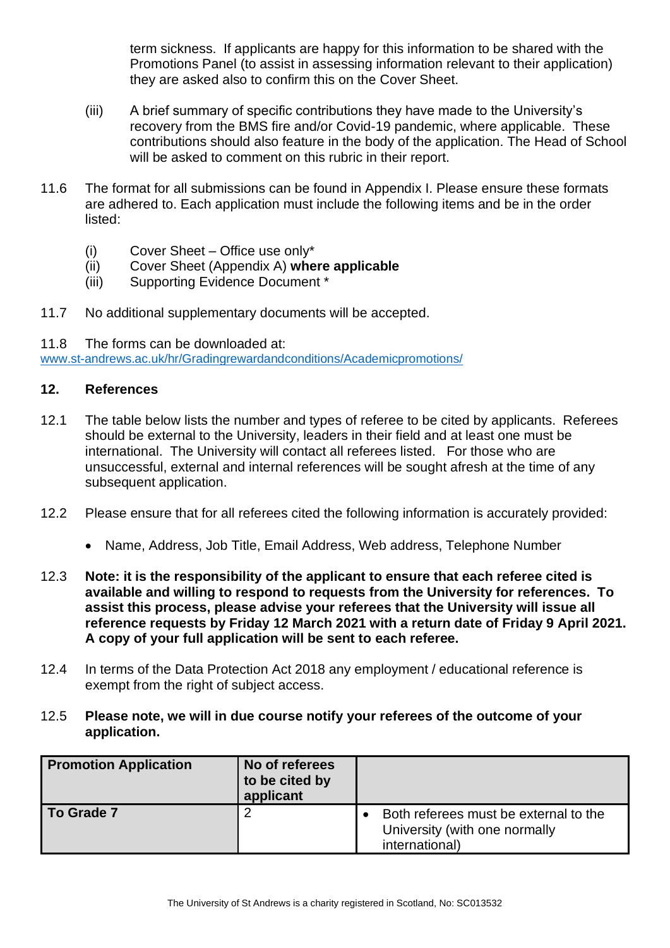term sickness. If applicants are happy for this information to be shared with the Promotions Panel (to assist in assessing information relevant to their application) they are asked also to confirm this on the Cover Sheet.

- (iii) A brief summary of specific contributions they have made to the University's recovery from the BMS fire and/or Covid-19 pandemic, where applicable. These contributions should also feature in the body of the application. The Head of School will be asked to comment on this rubric in their report.
- 11.6 The format for all submissions can be found in Appendix I. Please ensure these formats are adhered to. Each application must include the following items and be in the order listed:
	- (i) Cover Sheet Office use only\*
	- (ii) Cover Sheet (Appendix A) **where applicable**
	- (iii) Supporting Evidence Document \*
- 11.7 No additional supplementary documents will be accepted.
- 11.8 The forms can be downloaded at:

[www.st-andrews.ac.uk/hr/Gradingrewardandconditions/Academicpromotions/](http://www.st-andrews.ac.uk/hr/Gradingrewardandconditions/Academicpromotions/)

#### <span id="page-8-0"></span>**12. References**

- 12.1 The table below lists the number and types of referee to be cited by applicants. Referees should be external to the University, leaders in their field and at least one must be international. The University will contact all referees listed. For those who are unsuccessful, external and internal references will be sought afresh at the time of any subsequent application.
- 12.2 Please ensure that for all referees cited the following information is accurately provided:
	- Name, Address, Job Title, Email Address, Web address, Telephone Number
- 12.3 **Note: it is the responsibility of the applicant to ensure that each referee cited is available and willing to respond to requests from the University for references. To assist this process, please advise your referees that the University will issue all reference requests by Friday 12 March 2021 with a return date of Friday 9 April 2021. A copy of your full application will be sent to each referee.**
- 12.4 In terms of the Data Protection Act 2018 any employment / educational reference is exempt from the right of subject access.
- 12.5 **Please note, we will in due course notify your referees of the outcome of your application.**

| <b>Promotion Application</b> | No of referees<br>to be cited by<br>applicant |                                                                                          |
|------------------------------|-----------------------------------------------|------------------------------------------------------------------------------------------|
| To Grade 7                   |                                               | Both referees must be external to the<br>University (with one normally<br>international) |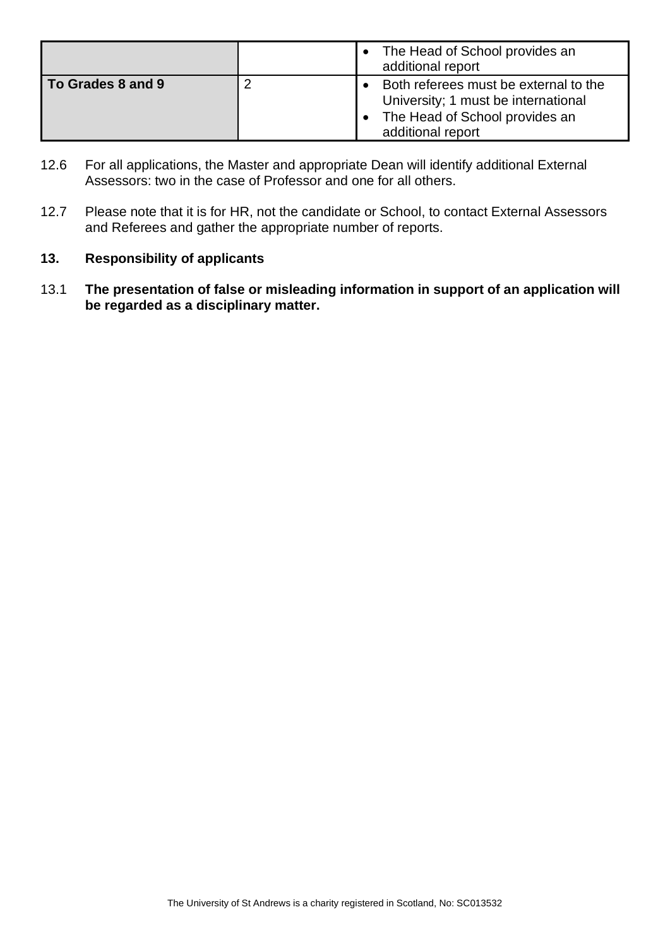|                   | The Head of School provides an<br>additional report                                                                                 |
|-------------------|-------------------------------------------------------------------------------------------------------------------------------------|
| To Grades 8 and 9 | Both referees must be external to the<br>University; 1 must be international<br>The Head of School provides an<br>additional report |

- 12.6 For all applications, the Master and appropriate Dean will identify additional External Assessors: two in the case of Professor and one for all others.
- 12.7 Please note that it is for HR, not the candidate or School, to contact External Assessors and Referees and gather the appropriate number of reports.

#### <span id="page-9-0"></span>**13. Responsibility of applicants**

13.1 **The presentation of false or misleading information in support of an application will be regarded as a disciplinary matter.**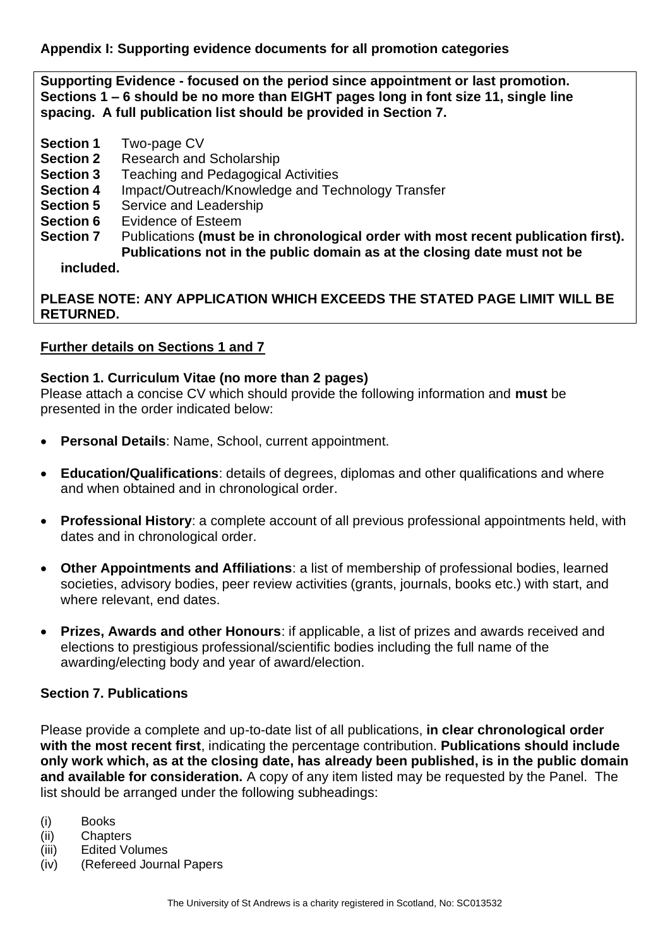<span id="page-10-0"></span>**Appendix I: Supporting evidence documents for all promotion categories**

**Supporting Evidence - focused on the period since appointment or last promotion. Sections 1 – 6 should be no more than EIGHT pages long in font size 11, single line spacing. A full publication list should be provided in Section 7.** 

- **Section 1** Two-page CV
- **Section 2** Research and Scholarship
- **Section 3** Teaching and Pedagogical Activities
- **Section 4** Impact/Outreach/Knowledge and Technology Transfer
- **Section 5** Service and Leadership
- **Section 6** Evidence of Esteem
- **Section 7** Publications **(must be in chronological order with most recent publication first). Publications not in the public domain as at the closing date must not be**

**included.**

**PLEASE NOTE: ANY APPLICATION WHICH EXCEEDS THE STATED PAGE LIMIT WILL BE RETURNED.**

#### **Further details on Sections 1 and 7**

#### **Section 1. Curriculum Vitae (no more than 2 pages)**

Please attach a concise CV which should provide the following information and **must** be presented in the order indicated below:

- **Personal Details: Name, School, current appointment.**
- **Education/Qualifications**: details of degrees, diplomas and other qualifications and where and when obtained and in chronological order.
- **Professional History**: a complete account of all previous professional appointments held, with dates and in chronological order.
- **Other Appointments and Affiliations**: a list of membership of professional bodies, learned societies, advisory bodies, peer review activities (grants, journals, books etc.) with start, and where relevant, end dates.
- **Prizes, Awards and other Honours**: if applicable, a list of prizes and awards received and elections to prestigious professional/scientific bodies including the full name of the awarding/electing body and year of award/election.

#### **Section 7. Publications**

Please provide a complete and up-to-date list of all publications, **in clear chronological order with the most recent first**, indicating the percentage contribution. **Publications should include only work which, as at the closing date, has already been published, is in the public domain and available for consideration.** A copy of any item listed may be requested by the Panel. The list should be arranged under the following subheadings:

- (i) Books
- (ii) Chapters
- (iii) Edited Volumes
- (iv) (Refereed Journal Papers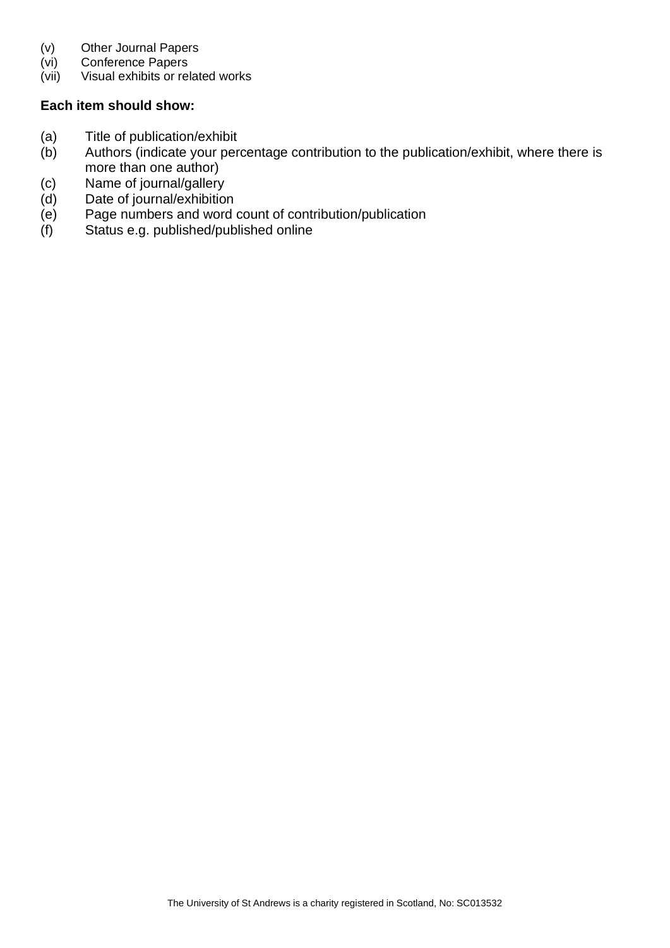- (v) Other Journal Papers
- (vi) Conference Papers
- (vii) Visual exhibits or related works

#### **Each item should show:**

- (a) Title of publication/exhibit
- (b) Authors (indicate your percentage contribution to the publication/exhibit, where there is more than one author)
- (c) Name of journal/gallery
- (d) Date of journal/exhibition
- (e) Page numbers and word count of contribution/publication
- (f) Status e.g. published/published online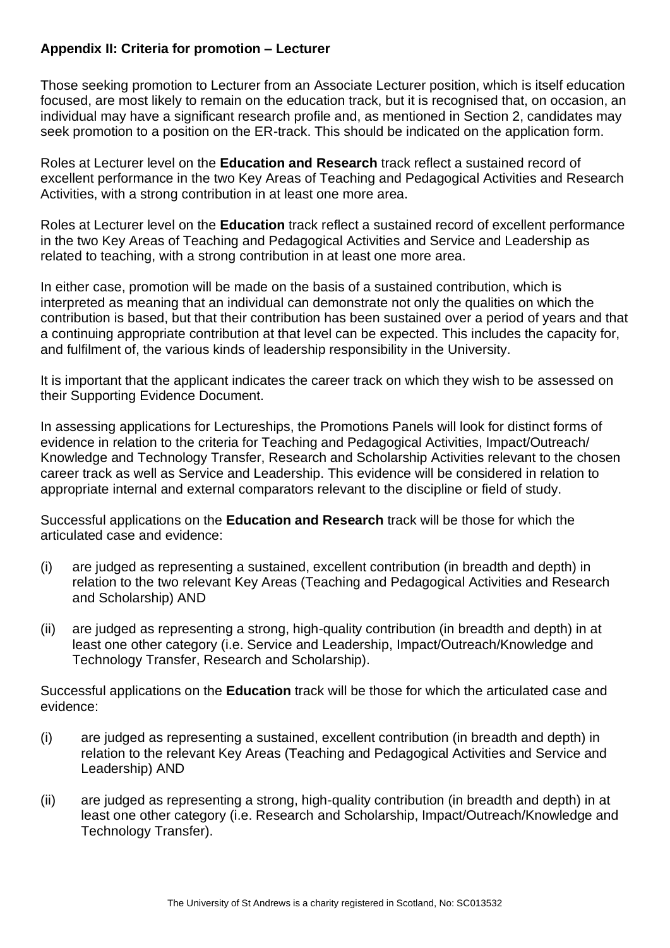#### <span id="page-12-0"></span>**Appendix II: Criteria for promotion – Lecturer**

Those seeking promotion to Lecturer from an Associate Lecturer position, which is itself education focused, are most likely to remain on the education track, but it is recognised that, on occasion, an individual may have a significant research profile and, as mentioned in Section 2, candidates may seek promotion to a position on the ER-track. This should be indicated on the application form.

Roles at Lecturer level on the **Education and Research** track reflect a sustained record of excellent performance in the two Key Areas of Teaching and Pedagogical Activities and Research Activities, with a strong contribution in at least one more area.

Roles at Lecturer level on the **Education** track reflect a sustained record of excellent performance in the two Key Areas of Teaching and Pedagogical Activities and Service and Leadership as related to teaching, with a strong contribution in at least one more area.

In either case, promotion will be made on the basis of a sustained contribution, which is interpreted as meaning that an individual can demonstrate not only the qualities on which the contribution is based, but that their contribution has been sustained over a period of years and that a continuing appropriate contribution at that level can be expected. This includes the capacity for, and fulfilment of, the various kinds of leadership responsibility in the University.

It is important that the applicant indicates the career track on which they wish to be assessed on their Supporting Evidence Document.

In assessing applications for Lectureships, the Promotions Panels will look for distinct forms of evidence in relation to the criteria for Teaching and Pedagogical Activities, Impact/Outreach/ Knowledge and Technology Transfer, Research and Scholarship Activities relevant to the chosen career track as well as Service and Leadership. This evidence will be considered in relation to appropriate internal and external comparators relevant to the discipline or field of study.

Successful applications on the **Education and Research** track will be those for which the articulated case and evidence:

- (i) are judged as representing a sustained, excellent contribution (in breadth and depth) in relation to the two relevant Key Areas (Teaching and Pedagogical Activities and Research and Scholarship) AND
- (ii) are judged as representing a strong, high-quality contribution (in breadth and depth) in at least one other category (i.e. Service and Leadership, Impact/Outreach/Knowledge and Technology Transfer, Research and Scholarship).

Successful applications on the **Education** track will be those for which the articulated case and evidence:

- (i) are judged as representing a sustained, excellent contribution (in breadth and depth) in relation to the relevant Key Areas (Teaching and Pedagogical Activities and Service and Leadership) AND
- (ii) are judged as representing a strong, high-quality contribution (in breadth and depth) in at least one other category (i.e. Research and Scholarship, Impact/Outreach/Knowledge and Technology Transfer).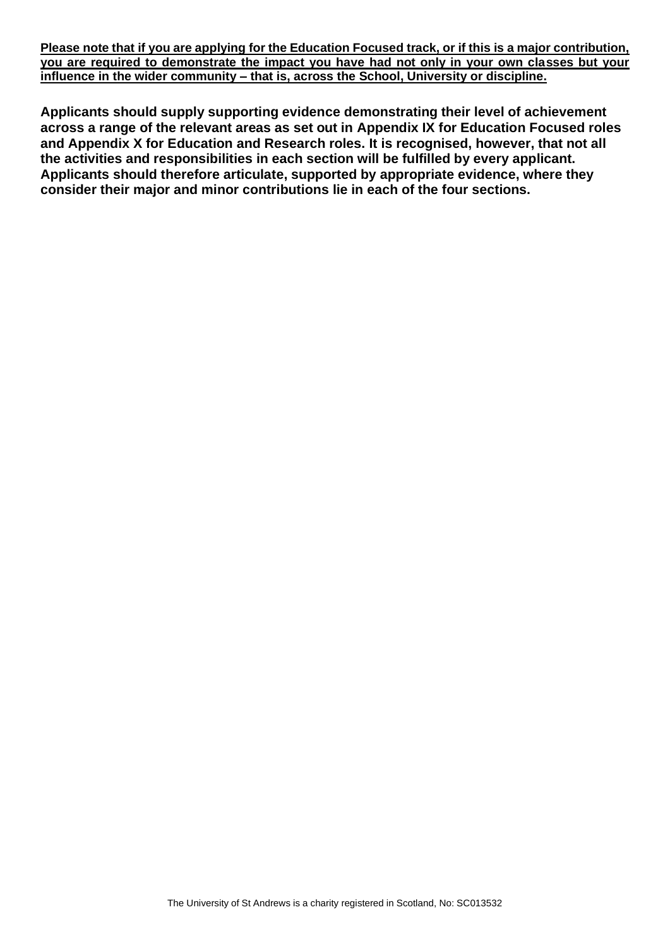**Please note that if you are applying for the Education Focused track, or if this is a major contribution, you are required to demonstrate the impact you have had not only in your own classes but your influence in the wider community – that is, across the School, University or discipline.**

**Applicants should supply supporting evidence demonstrating their level of achievement across a range of the relevant areas as set out in Appendix IX for Education Focused roles and Appendix X for Education and Research roles. It is recognised, however, that not all the activities and responsibilities in each section will be fulfilled by every applicant. Applicants should therefore articulate, supported by appropriate evidence, where they consider their major and minor contributions lie in each of the four sections.**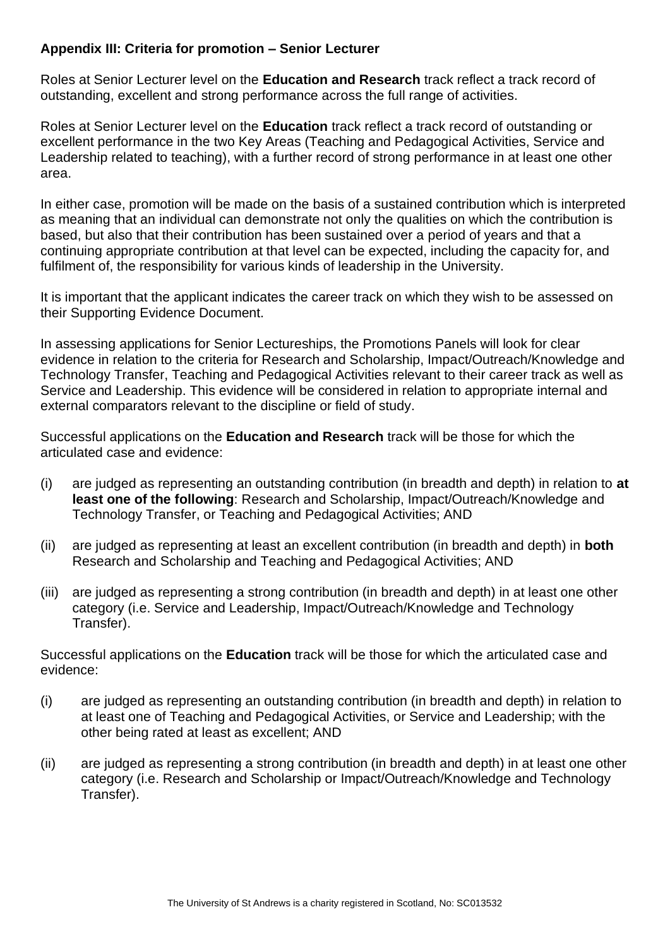#### <span id="page-14-0"></span>**Appendix III: Criteria for promotion – Senior Lecturer**

Roles at Senior Lecturer level on the **Education and Research** track reflect a track record of outstanding, excellent and strong performance across the full range of activities.

Roles at Senior Lecturer level on the **Education** track reflect a track record of outstanding or excellent performance in the two Key Areas (Teaching and Pedagogical Activities, Service and Leadership related to teaching), with a further record of strong performance in at least one other area.

In either case, promotion will be made on the basis of a sustained contribution which is interpreted as meaning that an individual can demonstrate not only the qualities on which the contribution is based, but also that their contribution has been sustained over a period of years and that a continuing appropriate contribution at that level can be expected, including the capacity for, and fulfilment of, the responsibility for various kinds of leadership in the University.

It is important that the applicant indicates the career track on which they wish to be assessed on their Supporting Evidence Document.

In assessing applications for Senior Lectureships, the Promotions Panels will look for clear evidence in relation to the criteria for Research and Scholarship, Impact/Outreach/Knowledge and Technology Transfer, Teaching and Pedagogical Activities relevant to their career track as well as Service and Leadership. This evidence will be considered in relation to appropriate internal and external comparators relevant to the discipline or field of study.

Successful applications on the **Education and Research** track will be those for which the articulated case and evidence:

- (i) are judged as representing an outstanding contribution (in breadth and depth) in relation to **at least one of the following**: Research and Scholarship, Impact/Outreach/Knowledge and Technology Transfer, or Teaching and Pedagogical Activities; AND
- (ii) are judged as representing at least an excellent contribution (in breadth and depth) in **both** Research and Scholarship and Teaching and Pedagogical Activities; AND
- (iii) are judged as representing a strong contribution (in breadth and depth) in at least one other category (i.e. Service and Leadership, Impact/Outreach/Knowledge and Technology Transfer).

Successful applications on the **Education** track will be those for which the articulated case and evidence:

- (i) are judged as representing an outstanding contribution (in breadth and depth) in relation to at least one of Teaching and Pedagogical Activities, or Service and Leadership; with the other being rated at least as excellent; AND
- (ii) are judged as representing a strong contribution (in breadth and depth) in at least one other category (i.e. Research and Scholarship or Impact/Outreach/Knowledge and Technology Transfer).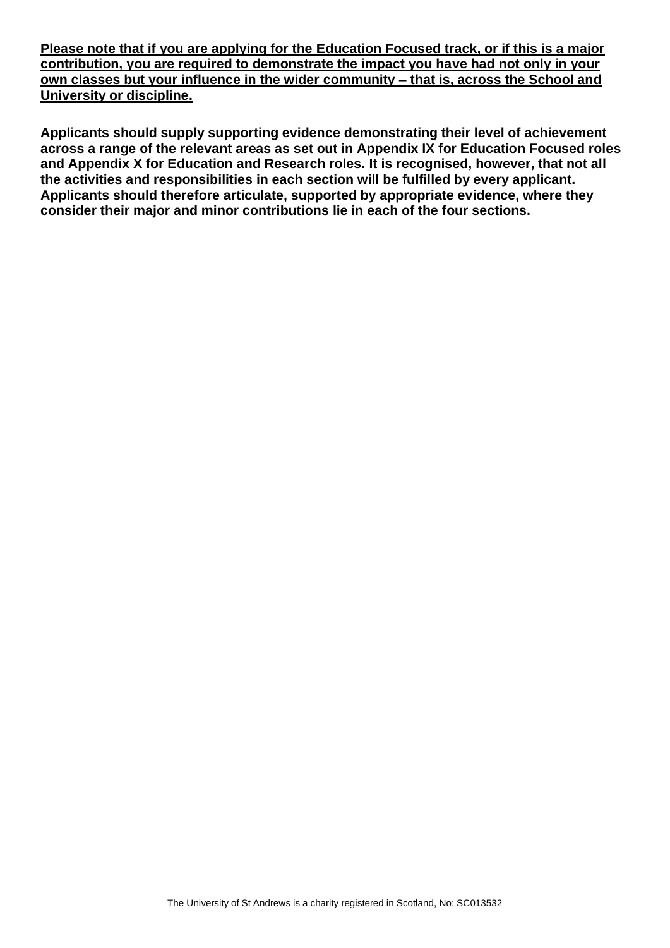**Please note that if you are applying for the Education Focused track, or if this is a major contribution, you are required to demonstrate the impact you have had not only in your own classes but your influence in the wider community – that is, across the School and University or discipline.**

**Applicants should supply supporting evidence demonstrating their level of achievement across a range of the relevant areas as set out in Appendix IX for Education Focused roles and Appendix X for Education and Research roles. It is recognised, however, that not all the activities and responsibilities in each section will be fulfilled by every applicant. Applicants should therefore articulate, supported by appropriate evidence, where they consider their major and minor contributions lie in each of the four sections.**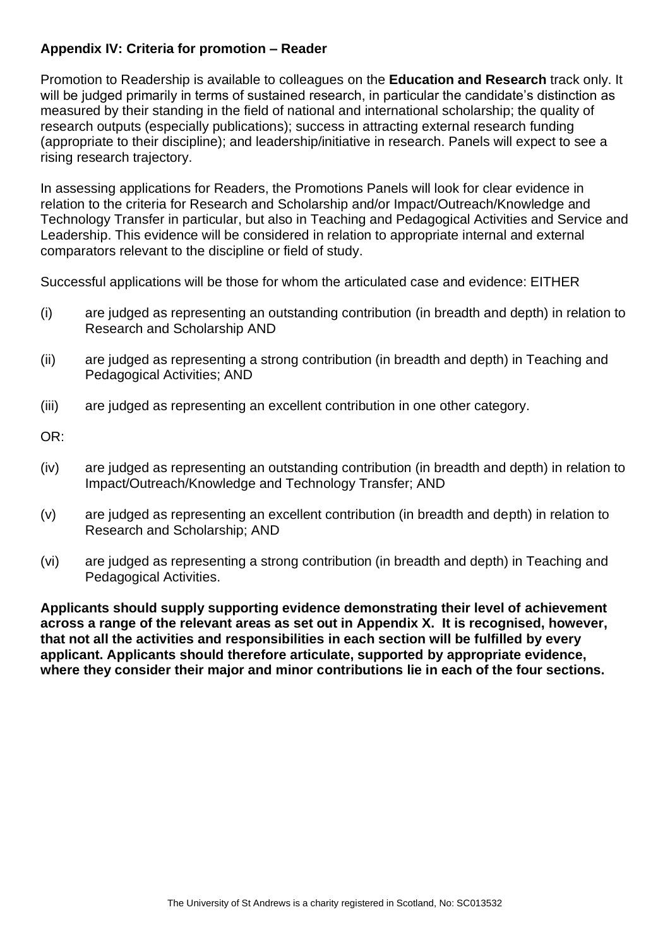#### <span id="page-16-0"></span>**Appendix IV: Criteria for promotion – Reader**

Promotion to Readership is available to colleagues on the **Education and Research** track only. It will be judged primarily in terms of sustained research, in particular the candidate's distinction as measured by their standing in the field of national and international scholarship; the quality of research outputs (especially publications); success in attracting external research funding (appropriate to their discipline); and leadership/initiative in research. Panels will expect to see a rising research trajectory.

In assessing applications for Readers, the Promotions Panels will look for clear evidence in relation to the criteria for Research and Scholarship and/or Impact/Outreach/Knowledge and Technology Transfer in particular, but also in Teaching and Pedagogical Activities and Service and Leadership. This evidence will be considered in relation to appropriate internal and external comparators relevant to the discipline or field of study.

Successful applications will be those for whom the articulated case and evidence: EITHER

- (i) are judged as representing an outstanding contribution (in breadth and depth) in relation to Research and Scholarship AND
- (ii) are judged as representing a strong contribution (in breadth and depth) in Teaching and Pedagogical Activities; AND
- (iii) are judged as representing an excellent contribution in one other category.
- OR:
- (iv) are judged as representing an outstanding contribution (in breadth and depth) in relation to Impact/Outreach/Knowledge and Technology Transfer; AND
- (v) are judged as representing an excellent contribution (in breadth and depth) in relation to Research and Scholarship; AND
- (vi) are judged as representing a strong contribution (in breadth and depth) in Teaching and Pedagogical Activities.

**Applicants should supply supporting evidence demonstrating their level of achievement across a range of the relevant areas as set out in Appendix X. It is recognised, however, that not all the activities and responsibilities in each section will be fulfilled by every applicant. Applicants should therefore articulate, supported by appropriate evidence, where they consider their major and minor contributions lie in each of the four sections.**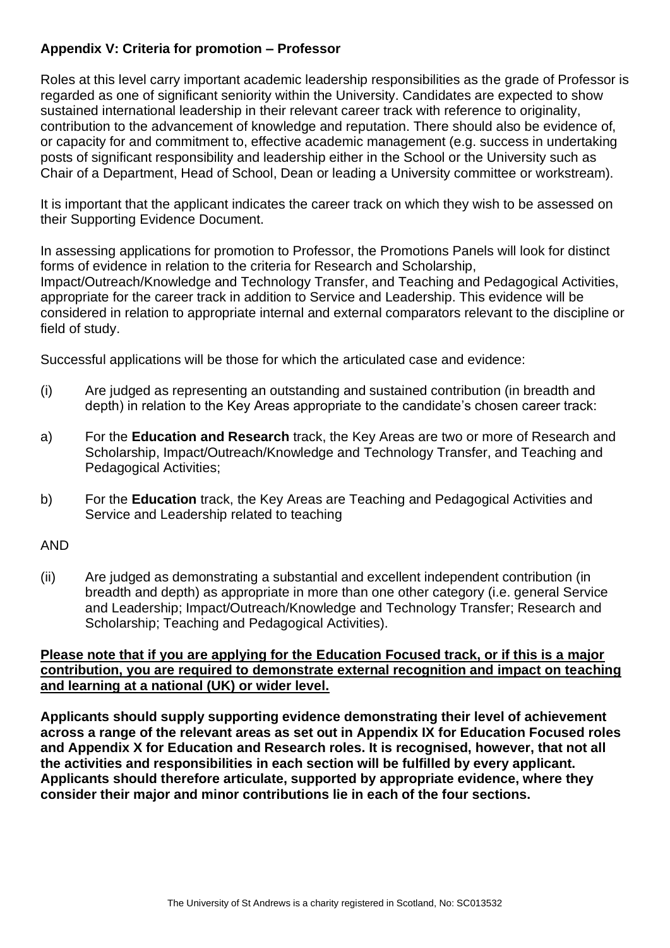#### <span id="page-17-0"></span>**Appendix V: Criteria for promotion – Professor**

Roles at this level carry important academic leadership responsibilities as the grade of Professor is regarded as one of significant seniority within the University. Candidates are expected to show sustained international leadership in their relevant career track with reference to originality, contribution to the advancement of knowledge and reputation. There should also be evidence of, or capacity for and commitment to, effective academic management (e.g. success in undertaking posts of significant responsibility and leadership either in the School or the University such as Chair of a Department, Head of School, Dean or leading a University committee or workstream).

It is important that the applicant indicates the career track on which they wish to be assessed on their Supporting Evidence Document.

In assessing applications for promotion to Professor, the Promotions Panels will look for distinct forms of evidence in relation to the criteria for Research and Scholarship, Impact/Outreach/Knowledge and Technology Transfer, and Teaching and Pedagogical Activities, appropriate for the career track in addition to Service and Leadership. This evidence will be considered in relation to appropriate internal and external comparators relevant to the discipline or field of study.

Successful applications will be those for which the articulated case and evidence:

- (i) Are judged as representing an outstanding and sustained contribution (in breadth and depth) in relation to the Key Areas appropriate to the candidate's chosen career track:
- a) For the **Education and Research** track, the Key Areas are two or more of Research and Scholarship, Impact/Outreach/Knowledge and Technology Transfer, and Teaching and Pedagogical Activities;
- b) For the **Education** track, the Key Areas are Teaching and Pedagogical Activities and Service and Leadership related to teaching

#### AND

(ii) Are judged as demonstrating a substantial and excellent independent contribution (in breadth and depth) as appropriate in more than one other category (i.e. general Service and Leadership; Impact/Outreach/Knowledge and Technology Transfer; Research and Scholarship; Teaching and Pedagogical Activities).

#### **Please note that if you are applying for the Education Focused track, or if this is a major contribution, you are required to demonstrate external recognition and impact on teaching and learning at a national (UK) or wider level.**

**Applicants should supply supporting evidence demonstrating their level of achievement across a range of the relevant areas as set out in Appendix IX for Education Focused roles and Appendix X for Education and Research roles. It is recognised, however, that not all the activities and responsibilities in each section will be fulfilled by every applicant. Applicants should therefore articulate, supported by appropriate evidence, where they consider their major and minor contributions lie in each of the four sections.**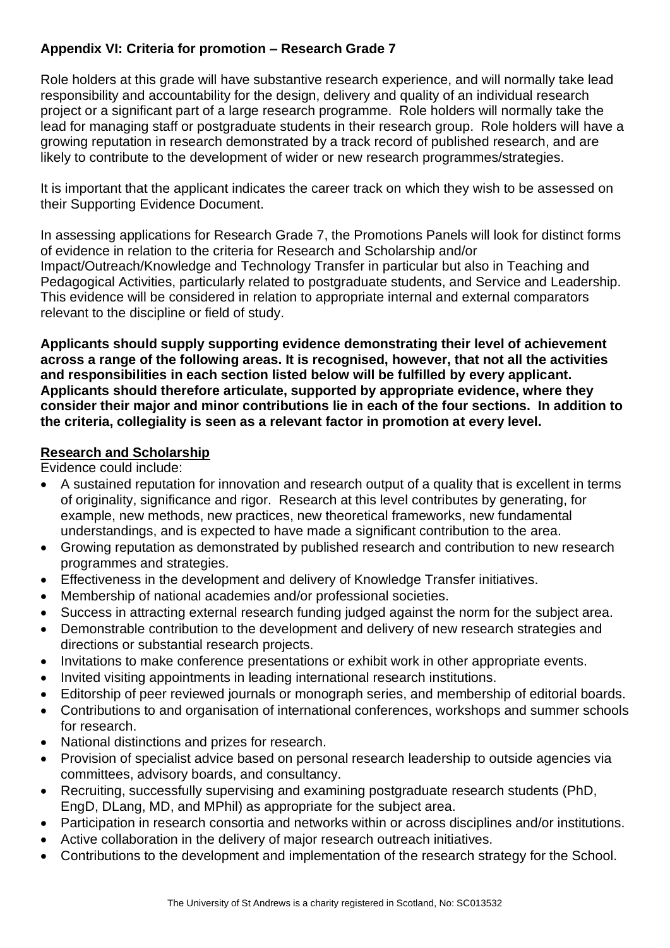#### <span id="page-18-0"></span>**Appendix VI: Criteria for promotion – Research Grade 7**

Role holders at this grade will have substantive research experience, and will normally take lead responsibility and accountability for the design, delivery and quality of an individual research project or a significant part of a large research programme. Role holders will normally take the lead for managing staff or postgraduate students in their research group. Role holders will have a growing reputation in research demonstrated by a track record of published research, and are likely to contribute to the development of wider or new research programmes/strategies.

It is important that the applicant indicates the career track on which they wish to be assessed on their Supporting Evidence Document.

In assessing applications for Research Grade 7, the Promotions Panels will look for distinct forms of evidence in relation to the criteria for Research and Scholarship and/or Impact/Outreach/Knowledge and Technology Transfer in particular but also in Teaching and Pedagogical Activities, particularly related to postgraduate students, and Service and Leadership. This evidence will be considered in relation to appropriate internal and external comparators relevant to the discipline or field of study.

**Applicants should supply supporting evidence demonstrating their level of achievement across a range of the following areas. It is recognised, however, that not all the activities and responsibilities in each section listed below will be fulfilled by every applicant. Applicants should therefore articulate, supported by appropriate evidence, where they consider their major and minor contributions lie in each of the four sections. In addition to the criteria, collegiality is seen as a relevant factor in promotion at every level.**

#### **Research and Scholarship**

- A sustained reputation for innovation and research output of a quality that is excellent in terms of originality, significance and rigor. Research at this level contributes by generating, for example, new methods, new practices, new theoretical frameworks, new fundamental understandings, and is expected to have made a significant contribution to the area.
- Growing reputation as demonstrated by published research and contribution to new research programmes and strategies.
- Effectiveness in the development and delivery of Knowledge Transfer initiatives.
- Membership of national academies and/or professional societies.
- Success in attracting external research funding judged against the norm for the subject area.
- Demonstrable contribution to the development and delivery of new research strategies and directions or substantial research projects.
- Invitations to make conference presentations or exhibit work in other appropriate events.
- Invited visiting appointments in leading international research institutions.
- Editorship of peer reviewed journals or monograph series, and membership of editorial boards.
- Contributions to and organisation of international conferences, workshops and summer schools for research.
- National distinctions and prizes for research.
- Provision of specialist advice based on personal research leadership to outside agencies via committees, advisory boards, and consultancy.
- Recruiting, successfully supervising and examining postgraduate research students (PhD, EngD, DLang, MD, and MPhil) as appropriate for the subject area.
- Participation in research consortia and networks within or across disciplines and/or institutions.
- Active collaboration in the delivery of major research outreach initiatives.
- Contributions to the development and implementation of the research strategy for the School.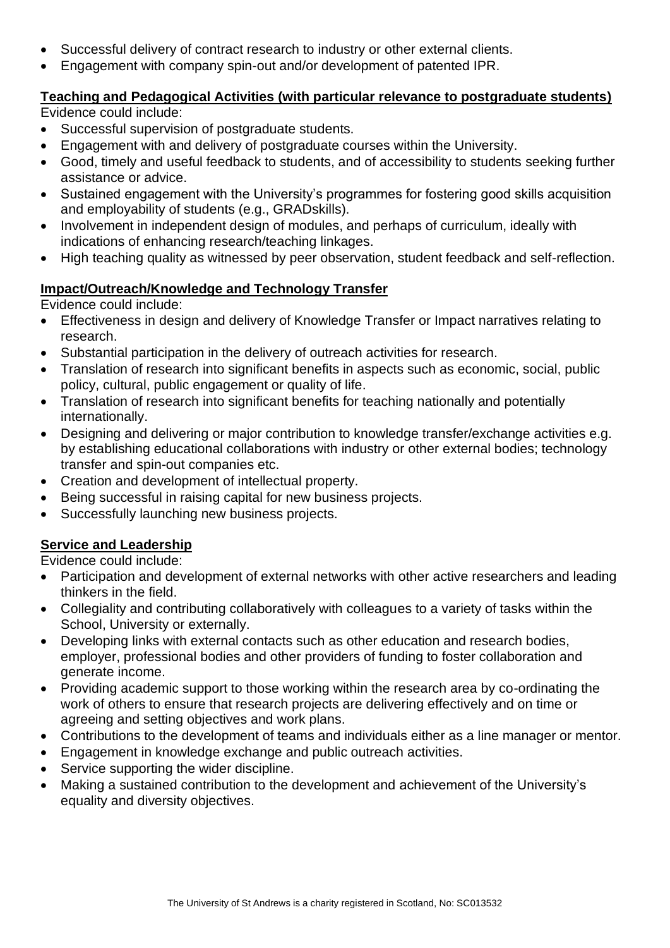- Successful delivery of contract research to industry or other external clients.
- Engagement with company spin-out and/or development of patented IPR.

#### **Teaching and Pedagogical Activities (with particular relevance to postgraduate students)**

Evidence could include:

- Successful supervision of postgraduate students.
- Engagement with and delivery of postgraduate courses within the University.
- Good, timely and useful feedback to students, and of accessibility to students seeking further assistance or advice.
- Sustained engagement with the University's programmes for fostering good skills acquisition and employability of students (e.g., GRADskills).
- Involvement in independent design of modules, and perhaps of curriculum, ideally with indications of enhancing research/teaching linkages.
- High teaching quality as witnessed by peer observation, student feedback and self-reflection.

#### **Impact/Outreach/Knowledge and Technology Transfer**

Evidence could include:

- Effectiveness in design and delivery of Knowledge Transfer or Impact narratives relating to research.
- Substantial participation in the delivery of outreach activities for research.
- Translation of research into significant benefits in aspects such as economic, social, public policy, cultural, public engagement or quality of life.
- Translation of research into significant benefits for teaching nationally and potentially internationally.
- Designing and delivering or major contribution to knowledge transfer/exchange activities e.g. by establishing educational collaborations with industry or other external bodies; technology transfer and spin-out companies etc.
- Creation and development of intellectual property.
- Being successful in raising capital for new business projects.
- Successfully launching new business projects.

#### **Service and Leadership**

- Participation and development of external networks with other active researchers and leading thinkers in the field.
- Collegiality and contributing collaboratively with colleagues to a variety of tasks within the School, University or externally.
- Developing links with external contacts such as other education and research bodies, employer, professional bodies and other providers of funding to foster collaboration and generate income.
- Providing academic support to those working within the research area by co-ordinating the work of others to ensure that research projects are delivering effectively and on time or agreeing and setting objectives and work plans.
- Contributions to the development of teams and individuals either as a line manager or mentor.
- Engagement in knowledge exchange and public outreach activities.
- Service supporting the wider discipline.
- Making a sustained contribution to the development and achievement of the University's equality and diversity objectives.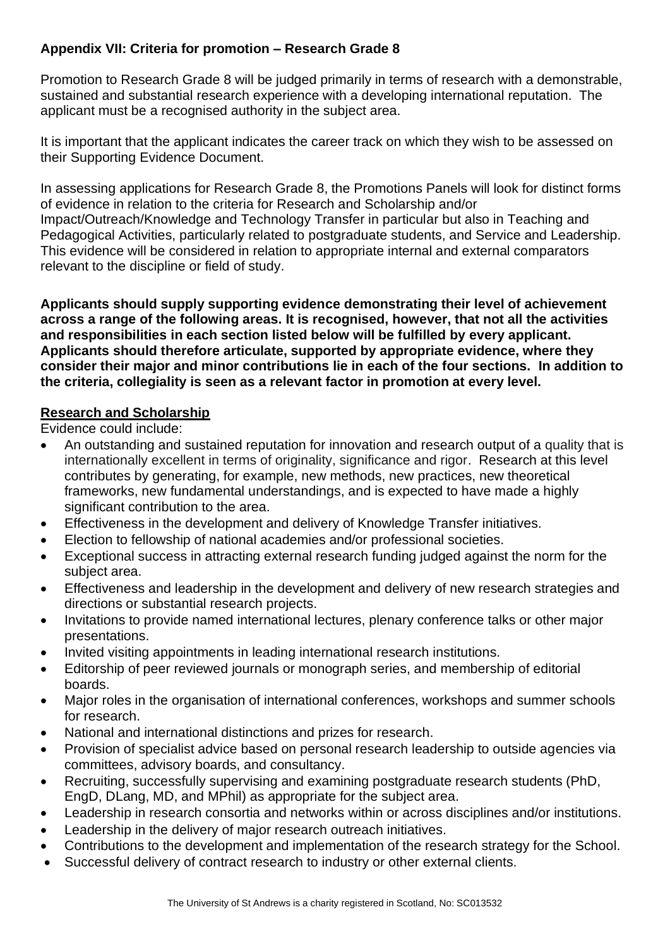#### <span id="page-20-0"></span>**Appendix VII: Criteria for promotion – Research Grade 8**

Promotion to Research Grade 8 will be judged primarily in terms of research with a demonstrable, sustained and substantial research experience with a developing international reputation. The applicant must be a recognised authority in the subject area.

It is important that the applicant indicates the career track on which they wish to be assessed on their Supporting Evidence Document.

In assessing applications for Research Grade 8, the Promotions Panels will look for distinct forms of evidence in relation to the criteria for Research and Scholarship and/or Impact/Outreach/Knowledge and Technology Transfer in particular but also in Teaching and Pedagogical Activities, particularly related to postgraduate students, and Service and Leadership. This evidence will be considered in relation to appropriate internal and external comparators relevant to the discipline or field of study.

**Applicants should supply supporting evidence demonstrating their level of achievement across a range of the following areas. It is recognised, however, that not all the activities and responsibilities in each section listed below will be fulfilled by every applicant. Applicants should therefore articulate, supported by appropriate evidence, where they consider their major and minor contributions lie in each of the four sections. In addition to the criteria, collegiality is seen as a relevant factor in promotion at every level.**

#### **Research and Scholarship**

- An outstanding and sustained reputation for innovation and research output of a quality that is internationally excellent in terms of originality, significance and rigor. Research at this level contributes by generating, for example, new methods, new practices, new theoretical frameworks, new fundamental understandings, and is expected to have made a highly significant contribution to the area.
- Effectiveness in the development and delivery of Knowledge Transfer initiatives.
- Election to fellowship of national academies and/or professional societies.
- Exceptional success in attracting external research funding judged against the norm for the subject area.
- Effectiveness and leadership in the development and delivery of new research strategies and directions or substantial research projects.
- Invitations to provide named international lectures, plenary conference talks or other major presentations.
- Invited visiting appointments in leading international research institutions.
- Editorship of peer reviewed journals or monograph series, and membership of editorial boards.
- Major roles in the organisation of international conferences, workshops and summer schools for research.
- National and international distinctions and prizes for research.
- Provision of specialist advice based on personal research leadership to outside agencies via committees, advisory boards, and consultancy.
- Recruiting, successfully supervising and examining postgraduate research students (PhD, EngD, DLang, MD, and MPhil) as appropriate for the subject area.
- Leadership in research consortia and networks within or across disciplines and/or institutions.
- Leadership in the delivery of major research outreach initiatives.
- Contributions to the development and implementation of the research strategy for the School.
- Successful delivery of contract research to industry or other external clients.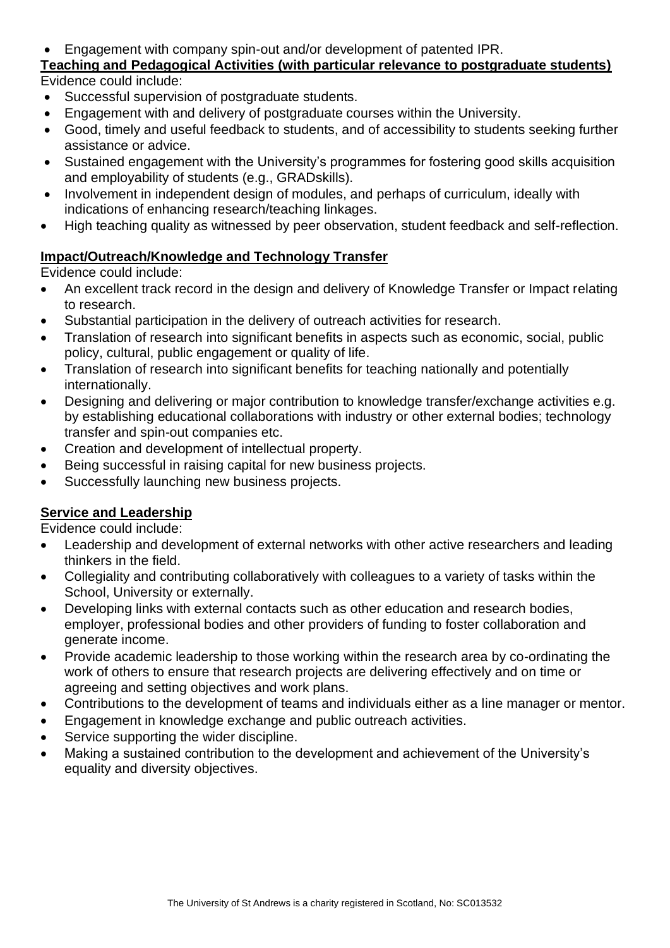#### • Engagement with company spin-out and/or development of patented IPR.

#### **Teaching and Pedagogical Activities (with particular relevance to postgraduate students)** Evidence could include:

- Successful supervision of postgraduate students.
- Engagement with and delivery of postgraduate courses within the University.
- Good, timely and useful feedback to students, and of accessibility to students seeking further assistance or advice.
- Sustained engagement with the University's programmes for fostering good skills acquisition and employability of students (e.g., GRADskills).
- Involvement in independent design of modules, and perhaps of curriculum, ideally with indications of enhancing research/teaching linkages.
- High teaching quality as witnessed by peer observation, student feedback and self-reflection.

#### **Impact/Outreach/Knowledge and Technology Transfer**

Evidence could include:

- An excellent track record in the design and delivery of Knowledge Transfer or Impact relating to research.
- Substantial participation in the delivery of outreach activities for research.
- Translation of research into significant benefits in aspects such as economic, social, public policy, cultural, public engagement or quality of life.
- Translation of research into significant benefits for teaching nationally and potentially internationally.
- Designing and delivering or major contribution to knowledge transfer/exchange activities e.g. by establishing educational collaborations with industry or other external bodies; technology transfer and spin-out companies etc.
- Creation and development of intellectual property.
- Being successful in raising capital for new business projects.
- Successfully launching new business projects.

#### **Service and Leadership**

- Leadership and development of external networks with other active researchers and leading thinkers in the field.
- Collegiality and contributing collaboratively with colleagues to a variety of tasks within the School, University or externally.
- Developing links with external contacts such as other education and research bodies, employer, professional bodies and other providers of funding to foster collaboration and generate income.
- Provide academic leadership to those working within the research area by co-ordinating the work of others to ensure that research projects are delivering effectively and on time or agreeing and setting objectives and work plans.
- Contributions to the development of teams and individuals either as a line manager or mentor.
- Engagement in knowledge exchange and public outreach activities.
- Service supporting the wider discipline.
- Making a sustained contribution to the development and achievement of the University's equality and diversity objectives.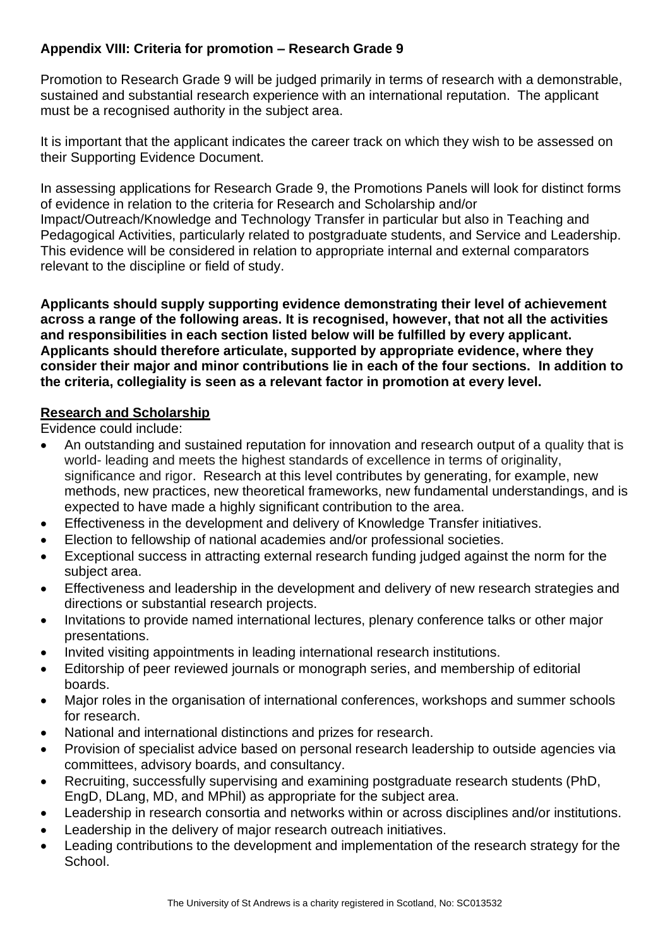#### <span id="page-22-0"></span>**Appendix VIII: Criteria for promotion – Research Grade 9**

Promotion to Research Grade 9 will be judged primarily in terms of research with a demonstrable, sustained and substantial research experience with an international reputation. The applicant must be a recognised authority in the subject area.

It is important that the applicant indicates the career track on which they wish to be assessed on their Supporting Evidence Document.

In assessing applications for Research Grade 9, the Promotions Panels will look for distinct forms of evidence in relation to the criteria for Research and Scholarship and/or Impact/Outreach/Knowledge and Technology Transfer in particular but also in Teaching and Pedagogical Activities, particularly related to postgraduate students, and Service and Leadership. This evidence will be considered in relation to appropriate internal and external comparators relevant to the discipline or field of study.

**Applicants should supply supporting evidence demonstrating their level of achievement across a range of the following areas. It is recognised, however, that not all the activities and responsibilities in each section listed below will be fulfilled by every applicant. Applicants should therefore articulate, supported by appropriate evidence, where they consider their major and minor contributions lie in each of the four sections. In addition to the criteria, collegiality is seen as a relevant factor in promotion at every level.**

#### **Research and Scholarship**

- An outstanding and sustained reputation for innovation and research output of a quality that is world- leading and meets the highest standards of excellence in terms of originality, significance and rigor. Research at this level contributes by generating, for example, new methods, new practices, new theoretical frameworks, new fundamental understandings, and is expected to have made a highly significant contribution to the area.
- Effectiveness in the development and delivery of Knowledge Transfer initiatives.
- Election to fellowship of national academies and/or professional societies.
- Exceptional success in attracting external research funding judged against the norm for the subject area.
- Effectiveness and leadership in the development and delivery of new research strategies and directions or substantial research projects.
- Invitations to provide named international lectures, plenary conference talks or other major presentations.
- Invited visiting appointments in leading international research institutions.
- Editorship of peer reviewed journals or monograph series, and membership of editorial boards.
- Major roles in the organisation of international conferences, workshops and summer schools for research.
- National and international distinctions and prizes for research.
- Provision of specialist advice based on personal research leadership to outside agencies via committees, advisory boards, and consultancy.
- Recruiting, successfully supervising and examining postgraduate research students (PhD, EngD, DLang, MD, and MPhil) as appropriate for the subject area.
- Leadership in research consortia and networks within or across disciplines and/or institutions.
- Leadership in the delivery of major research outreach initiatives.
- Leading contributions to the development and implementation of the research strategy for the School.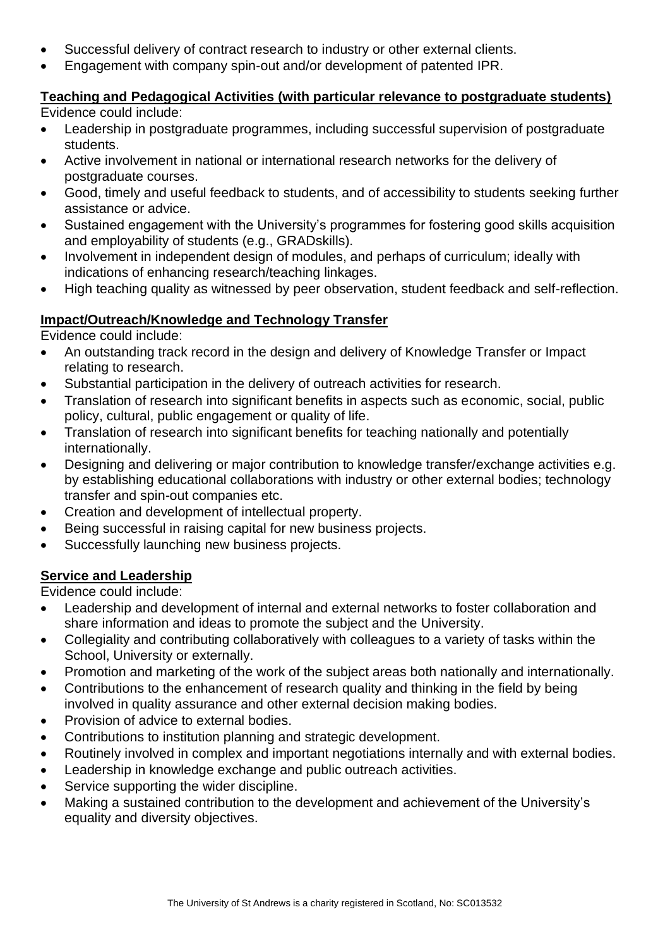- Successful delivery of contract research to industry or other external clients.
- Engagement with company spin-out and/or development of patented IPR.

## **Teaching and Pedagogical Activities (with particular relevance to postgraduate students)**

Evidence could include:

- Leadership in postgraduate programmes, including successful supervision of postgraduate students.
- Active involvement in national or international research networks for the delivery of postgraduate courses.
- Good, timely and useful feedback to students, and of accessibility to students seeking further assistance or advice.
- Sustained engagement with the University's programmes for fostering good skills acquisition and employability of students (e.g., GRADskills).
- Involvement in independent design of modules, and perhaps of curriculum; ideally with indications of enhancing research/teaching linkages.
- High teaching quality as witnessed by peer observation, student feedback and self-reflection.

#### **Impact/Outreach/Knowledge and Technology Transfer**

Evidence could include:

- An outstanding track record in the design and delivery of Knowledge Transfer or Impact relating to research.
- Substantial participation in the delivery of outreach activities for research.
- Translation of research into significant benefits in aspects such as economic, social, public policy, cultural, public engagement or quality of life.
- Translation of research into significant benefits for teaching nationally and potentially internationally.
- Designing and delivering or major contribution to knowledge transfer/exchange activities e.g. by establishing educational collaborations with industry or other external bodies; technology transfer and spin-out companies etc.
- Creation and development of intellectual property.
- Being successful in raising capital for new business projects.
- Successfully launching new business projects.

#### **Service and Leadership**

- Leadership and development of internal and external networks to foster collaboration and share information and ideas to promote the subject and the University.
- Collegiality and contributing collaboratively with colleagues to a variety of tasks within the School, University or externally.
- Promotion and marketing of the work of the subject areas both nationally and internationally.
- Contributions to the enhancement of research quality and thinking in the field by being involved in quality assurance and other external decision making bodies.
- Provision of advice to external bodies.
- Contributions to institution planning and strategic development.
- Routinely involved in complex and important negotiations internally and with external bodies.
- Leadership in knowledge exchange and public outreach activities.
- Service supporting the wider discipline.
- Making a sustained contribution to the development and achievement of the University's equality and diversity objectives.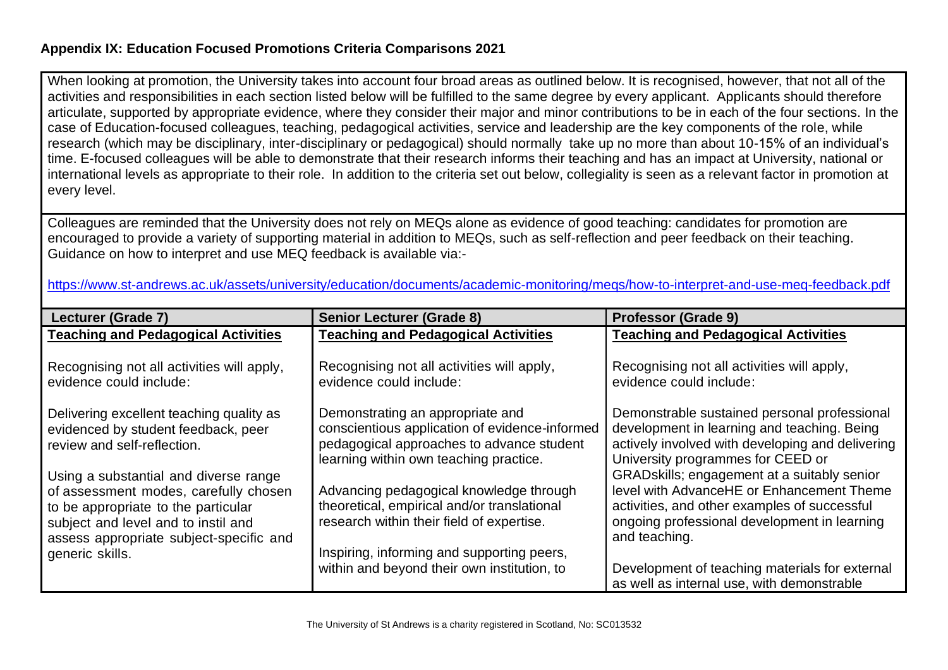#### **Appendix IX: Education Focused Promotions Criteria Comparisons 2021**

When looking at promotion, the University takes into account four broad areas as outlined below. It is recognised, however, that not all of the activities and responsibilities in each section listed below will be fulfilled to the same degree by every applicant. Applicants should therefore articulate, supported by appropriate evidence, where they consider their major and minor contributions to be in each of the four sections. In the case of Education-focused colleagues, teaching, pedagogical activities, service and leadership are the key components of the role, while research (which may be disciplinary, inter-disciplinary or pedagogical) should normally take up no more than about 10-15% of an individual's time. E-focused colleagues will be able to demonstrate that their research informs their teaching and has an impact at University, national or international levels as appropriate to their role. In addition to the criteria set out below, collegiality is seen as a relevant factor in promotion at every level.

Colleagues are reminded that the University does not rely on MEQs alone as evidence of good teaching: candidates for promotion are encouraged to provide a variety of supporting material in addition to MEQs, such as self-reflection and peer feedback on their teaching. Guidance on how to interpret and use MEQ feedback is available via:-

| https://www.st-andrews.ac.uk/assets/university/education/documents/academic-monitoring/megs/how-to-interpret-and-use-meg-feedback.pdf |  |  |
|---------------------------------------------------------------------------------------------------------------------------------------|--|--|
|                                                                                                                                       |  |  |

<span id="page-24-0"></span>

| Lecturer (Grade 7)                                                                                                                                             | <b>Senior Lecturer (Grade 8)</b>                                                                                                                                          | <b>Professor (Grade 9)</b>                                                                                                                                                                                                           |
|----------------------------------------------------------------------------------------------------------------------------------------------------------------|---------------------------------------------------------------------------------------------------------------------------------------------------------------------------|--------------------------------------------------------------------------------------------------------------------------------------------------------------------------------------------------------------------------------------|
| <b>Teaching and Pedagogical Activities</b>                                                                                                                     | <b>Teaching and Pedagogical Activities</b>                                                                                                                                | <b>Teaching and Pedagogical Activities</b>                                                                                                                                                                                           |
| Recognising not all activities will apply,<br>evidence could include:                                                                                          | Recognising not all activities will apply,<br>evidence could include:                                                                                                     | Recognising not all activities will apply,<br>evidence could include:                                                                                                                                                                |
| Delivering excellent teaching quality as<br>evidenced by student feedback, peer<br>review and self-reflection.<br>Using a substantial and diverse range        | Demonstrating an appropriate and<br>conscientious application of evidence-informed<br>pedagogical approaches to advance student<br>learning within own teaching practice. | Demonstrable sustained personal professional<br>development in learning and teaching. Being<br>actively involved with developing and delivering<br>University programmes for CEED or<br>GRAD skills; engagement at a suitably senior |
| of assessment modes, carefully chosen<br>to be appropriate to the particular<br>subject and level and to instil and<br>assess appropriate subject-specific and | Advancing pedagogical knowledge through<br>theoretical, empirical and/or translational<br>research within their field of expertise.                                       | level with AdvanceHE or Enhancement Theme<br>activities, and other examples of successful<br>ongoing professional development in learning<br>and teaching.                                                                           |
| generic skills.                                                                                                                                                | Inspiring, informing and supporting peers,<br>within and beyond their own institution, to                                                                                 | Development of teaching materials for external<br>as well as internal use, with demonstrable                                                                                                                                         |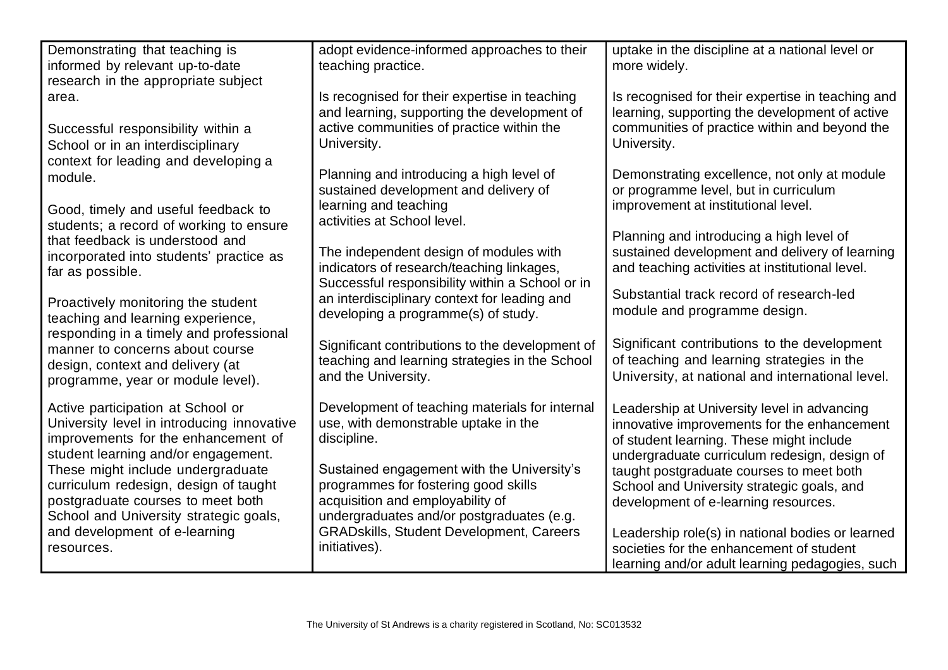| Demonstrating that teaching is<br>adopt evidence-informed approaches to their<br>uptake in the discipline at a national level or<br>informed by relevant up-to-date<br>teaching practice.<br>more widely.<br>research in the appropriate subject<br>Is recognised for their expertise in teaching<br>Is recognised for their expertise in teaching and<br>area.<br>and learning, supporting the development of<br>learning, supporting the development of active<br>active communities of practice within the<br>communities of practice within and beyond the<br>Successful responsibility within a<br>University.<br>University.<br>School or in an interdisciplinary<br>context for leading and developing a<br>Planning and introducing a high level of<br>Demonstrating excellence, not only at module<br>module.<br>sustained development and delivery of<br>or programme level, but in curriculum<br>learning and teaching<br>improvement at institutional level.<br>Good, timely and useful feedback to<br>activities at School level.<br>students; a record of working to ensure<br>Planning and introducing a high level of<br>that feedback is understood and<br>sustained development and delivery of learning<br>The independent design of modules with<br>incorporated into students' practice as<br>and teaching activities at institutional level.<br>indicators of research/teaching linkages,<br>far as possible.<br>Successful responsibility within a School or in<br>Substantial track record of research-led<br>an interdisciplinary context for leading and<br>Proactively monitoring the student<br>module and programme design.<br>developing a programme(s) of study.<br>teaching and learning experience,<br>responding in a timely and professional |
|---------------------------------------------------------------------------------------------------------------------------------------------------------------------------------------------------------------------------------------------------------------------------------------------------------------------------------------------------------------------------------------------------------------------------------------------------------------------------------------------------------------------------------------------------------------------------------------------------------------------------------------------------------------------------------------------------------------------------------------------------------------------------------------------------------------------------------------------------------------------------------------------------------------------------------------------------------------------------------------------------------------------------------------------------------------------------------------------------------------------------------------------------------------------------------------------------------------------------------------------------------------------------------------------------------------------------------------------------------------------------------------------------------------------------------------------------------------------------------------------------------------------------------------------------------------------------------------------------------------------------------------------------------------------------------------------------------------------------------------------------------------------------------|
|                                                                                                                                                                                                                                                                                                                                                                                                                                                                                                                                                                                                                                                                                                                                                                                                                                                                                                                                                                                                                                                                                                                                                                                                                                                                                                                                                                                                                                                                                                                                                                                                                                                                                                                                                                                 |
|                                                                                                                                                                                                                                                                                                                                                                                                                                                                                                                                                                                                                                                                                                                                                                                                                                                                                                                                                                                                                                                                                                                                                                                                                                                                                                                                                                                                                                                                                                                                                                                                                                                                                                                                                                                 |
|                                                                                                                                                                                                                                                                                                                                                                                                                                                                                                                                                                                                                                                                                                                                                                                                                                                                                                                                                                                                                                                                                                                                                                                                                                                                                                                                                                                                                                                                                                                                                                                                                                                                                                                                                                                 |
|                                                                                                                                                                                                                                                                                                                                                                                                                                                                                                                                                                                                                                                                                                                                                                                                                                                                                                                                                                                                                                                                                                                                                                                                                                                                                                                                                                                                                                                                                                                                                                                                                                                                                                                                                                                 |
|                                                                                                                                                                                                                                                                                                                                                                                                                                                                                                                                                                                                                                                                                                                                                                                                                                                                                                                                                                                                                                                                                                                                                                                                                                                                                                                                                                                                                                                                                                                                                                                                                                                                                                                                                                                 |
|                                                                                                                                                                                                                                                                                                                                                                                                                                                                                                                                                                                                                                                                                                                                                                                                                                                                                                                                                                                                                                                                                                                                                                                                                                                                                                                                                                                                                                                                                                                                                                                                                                                                                                                                                                                 |
|                                                                                                                                                                                                                                                                                                                                                                                                                                                                                                                                                                                                                                                                                                                                                                                                                                                                                                                                                                                                                                                                                                                                                                                                                                                                                                                                                                                                                                                                                                                                                                                                                                                                                                                                                                                 |
|                                                                                                                                                                                                                                                                                                                                                                                                                                                                                                                                                                                                                                                                                                                                                                                                                                                                                                                                                                                                                                                                                                                                                                                                                                                                                                                                                                                                                                                                                                                                                                                                                                                                                                                                                                                 |
|                                                                                                                                                                                                                                                                                                                                                                                                                                                                                                                                                                                                                                                                                                                                                                                                                                                                                                                                                                                                                                                                                                                                                                                                                                                                                                                                                                                                                                                                                                                                                                                                                                                                                                                                                                                 |
|                                                                                                                                                                                                                                                                                                                                                                                                                                                                                                                                                                                                                                                                                                                                                                                                                                                                                                                                                                                                                                                                                                                                                                                                                                                                                                                                                                                                                                                                                                                                                                                                                                                                                                                                                                                 |
|                                                                                                                                                                                                                                                                                                                                                                                                                                                                                                                                                                                                                                                                                                                                                                                                                                                                                                                                                                                                                                                                                                                                                                                                                                                                                                                                                                                                                                                                                                                                                                                                                                                                                                                                                                                 |
|                                                                                                                                                                                                                                                                                                                                                                                                                                                                                                                                                                                                                                                                                                                                                                                                                                                                                                                                                                                                                                                                                                                                                                                                                                                                                                                                                                                                                                                                                                                                                                                                                                                                                                                                                                                 |
|                                                                                                                                                                                                                                                                                                                                                                                                                                                                                                                                                                                                                                                                                                                                                                                                                                                                                                                                                                                                                                                                                                                                                                                                                                                                                                                                                                                                                                                                                                                                                                                                                                                                                                                                                                                 |
|                                                                                                                                                                                                                                                                                                                                                                                                                                                                                                                                                                                                                                                                                                                                                                                                                                                                                                                                                                                                                                                                                                                                                                                                                                                                                                                                                                                                                                                                                                                                                                                                                                                                                                                                                                                 |
|                                                                                                                                                                                                                                                                                                                                                                                                                                                                                                                                                                                                                                                                                                                                                                                                                                                                                                                                                                                                                                                                                                                                                                                                                                                                                                                                                                                                                                                                                                                                                                                                                                                                                                                                                                                 |
|                                                                                                                                                                                                                                                                                                                                                                                                                                                                                                                                                                                                                                                                                                                                                                                                                                                                                                                                                                                                                                                                                                                                                                                                                                                                                                                                                                                                                                                                                                                                                                                                                                                                                                                                                                                 |
|                                                                                                                                                                                                                                                                                                                                                                                                                                                                                                                                                                                                                                                                                                                                                                                                                                                                                                                                                                                                                                                                                                                                                                                                                                                                                                                                                                                                                                                                                                                                                                                                                                                                                                                                                                                 |
|                                                                                                                                                                                                                                                                                                                                                                                                                                                                                                                                                                                                                                                                                                                                                                                                                                                                                                                                                                                                                                                                                                                                                                                                                                                                                                                                                                                                                                                                                                                                                                                                                                                                                                                                                                                 |
| Significant contributions to the development<br>Significant contributions to the development of<br>manner to concerns about course                                                                                                                                                                                                                                                                                                                                                                                                                                                                                                                                                                                                                                                                                                                                                                                                                                                                                                                                                                                                                                                                                                                                                                                                                                                                                                                                                                                                                                                                                                                                                                                                                                              |
| of teaching and learning strategies in the<br>teaching and learning strategies in the School<br>design, context and delivery (at                                                                                                                                                                                                                                                                                                                                                                                                                                                                                                                                                                                                                                                                                                                                                                                                                                                                                                                                                                                                                                                                                                                                                                                                                                                                                                                                                                                                                                                                                                                                                                                                                                                |
| University, at national and international level.<br>and the University.<br>programme, year or module level).                                                                                                                                                                                                                                                                                                                                                                                                                                                                                                                                                                                                                                                                                                                                                                                                                                                                                                                                                                                                                                                                                                                                                                                                                                                                                                                                                                                                                                                                                                                                                                                                                                                                    |
|                                                                                                                                                                                                                                                                                                                                                                                                                                                                                                                                                                                                                                                                                                                                                                                                                                                                                                                                                                                                                                                                                                                                                                                                                                                                                                                                                                                                                                                                                                                                                                                                                                                                                                                                                                                 |
| Development of teaching materials for internal<br>Active participation at School or<br>Leadership at University level in advancing                                                                                                                                                                                                                                                                                                                                                                                                                                                                                                                                                                                                                                                                                                                                                                                                                                                                                                                                                                                                                                                                                                                                                                                                                                                                                                                                                                                                                                                                                                                                                                                                                                              |
| University level in introducing innovative<br>use, with demonstrable uptake in the<br>innovative improvements for the enhancement                                                                                                                                                                                                                                                                                                                                                                                                                                                                                                                                                                                                                                                                                                                                                                                                                                                                                                                                                                                                                                                                                                                                                                                                                                                                                                                                                                                                                                                                                                                                                                                                                                               |
| improvements for the enhancement of<br>discipline.<br>of student learning. These might include                                                                                                                                                                                                                                                                                                                                                                                                                                                                                                                                                                                                                                                                                                                                                                                                                                                                                                                                                                                                                                                                                                                                                                                                                                                                                                                                                                                                                                                                                                                                                                                                                                                                                  |
| student learning and/or engagement.<br>undergraduate curriculum redesign, design of                                                                                                                                                                                                                                                                                                                                                                                                                                                                                                                                                                                                                                                                                                                                                                                                                                                                                                                                                                                                                                                                                                                                                                                                                                                                                                                                                                                                                                                                                                                                                                                                                                                                                             |
| Sustained engagement with the University's<br>These might include undergraduate<br>taught postgraduate courses to meet both<br>programmes for fostering good skills                                                                                                                                                                                                                                                                                                                                                                                                                                                                                                                                                                                                                                                                                                                                                                                                                                                                                                                                                                                                                                                                                                                                                                                                                                                                                                                                                                                                                                                                                                                                                                                                             |
| curriculum redesign, design of taught<br>School and University strategic goals, and<br>acquisition and employability of<br>postgraduate courses to meet both                                                                                                                                                                                                                                                                                                                                                                                                                                                                                                                                                                                                                                                                                                                                                                                                                                                                                                                                                                                                                                                                                                                                                                                                                                                                                                                                                                                                                                                                                                                                                                                                                    |
| development of e-learning resources.<br>School and University strategic goals,<br>undergraduates and/or postgraduates (e.g.                                                                                                                                                                                                                                                                                                                                                                                                                                                                                                                                                                                                                                                                                                                                                                                                                                                                                                                                                                                                                                                                                                                                                                                                                                                                                                                                                                                                                                                                                                                                                                                                                                                     |
| <b>GRADskills, Student Development, Careers</b><br>and development of e-learning<br>Leadership role(s) in national bodies or learned                                                                                                                                                                                                                                                                                                                                                                                                                                                                                                                                                                                                                                                                                                                                                                                                                                                                                                                                                                                                                                                                                                                                                                                                                                                                                                                                                                                                                                                                                                                                                                                                                                            |
| initiatives).<br>societies for the enhancement of student<br>resources.                                                                                                                                                                                                                                                                                                                                                                                                                                                                                                                                                                                                                                                                                                                                                                                                                                                                                                                                                                                                                                                                                                                                                                                                                                                                                                                                                                                                                                                                                                                                                                                                                                                                                                         |
| learning and/or adult learning pedagogies, such                                                                                                                                                                                                                                                                                                                                                                                                                                                                                                                                                                                                                                                                                                                                                                                                                                                                                                                                                                                                                                                                                                                                                                                                                                                                                                                                                                                                                                                                                                                                                                                                                                                                                                                                 |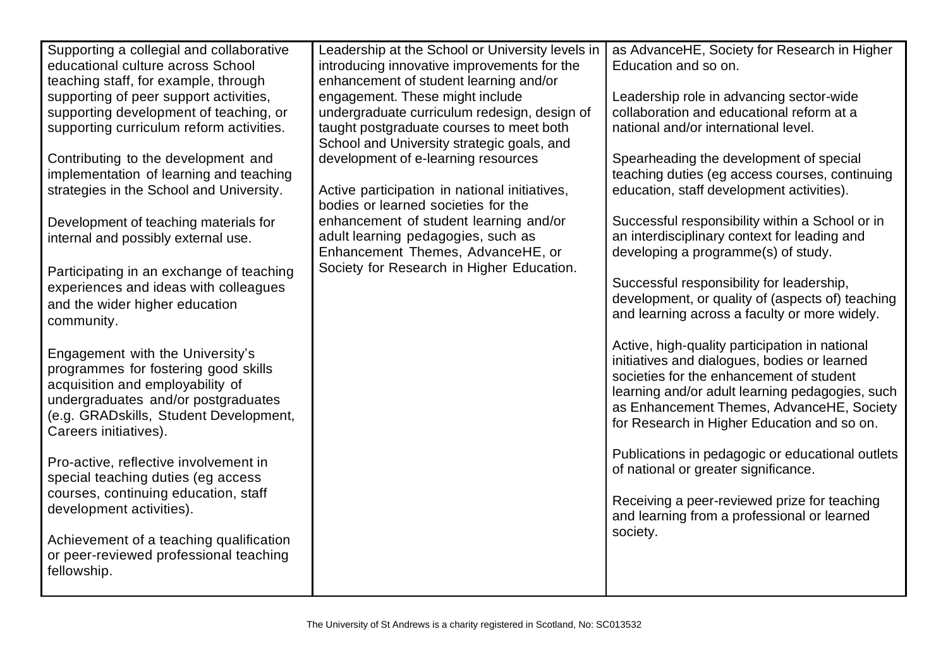| Supporting a collegial and collaborative | Leadership at the School or University levels in | as AdvanceHE, Society for Research in Higher     |
|------------------------------------------|--------------------------------------------------|--------------------------------------------------|
| educational culture across School        | introducing innovative improvements for the      | Education and so on.                             |
| teaching staff, for example, through     | enhancement of student learning and/or           |                                                  |
| supporting of peer support activities,   | engagement. These might include                  | Leadership role in advancing sector-wide         |
| supporting development of teaching, or   | undergraduate curriculum redesign, design of     | collaboration and educational reform at a        |
| supporting curriculum reform activities. | taught postgraduate courses to meet both         | national and/or international level.             |
|                                          | School and University strategic goals, and       |                                                  |
| Contributing to the development and      | development of e-learning resources              | Spearheading the development of special          |
| implementation of learning and teaching  |                                                  | teaching duties (eg access courses, continuing   |
| strategies in the School and University. | Active participation in national initiatives,    | education, staff development activities).        |
|                                          | bodies or learned societies for the              |                                                  |
| Development of teaching materials for    | enhancement of student learning and/or           | Successful responsibility within a School or in  |
| internal and possibly external use.      | adult learning pedagogies, such as               | an interdisciplinary context for leading and     |
|                                          | Enhancement Themes, AdvanceHE, or                | developing a programme(s) of study.              |
| Participating in an exchange of teaching | Society for Research in Higher Education.        |                                                  |
| experiences and ideas with colleagues    |                                                  | Successful responsibility for leadership,        |
| and the wider higher education           |                                                  | development, or quality of (aspects of) teaching |
| community.                               |                                                  | and learning across a faculty or more widely.    |
|                                          |                                                  | Active, high-quality participation in national   |
| Engagement with the University's         |                                                  | initiatives and dialogues, bodies or learned     |
| programmes for fostering good skills     |                                                  | societies for the enhancement of student         |
| acquisition and employability of         |                                                  | learning and/or adult learning pedagogies, such  |
| undergraduates and/or postgraduates      |                                                  | as Enhancement Themes, AdvanceHE, Society        |
| (e.g. GRADskills, Student Development,   |                                                  | for Research in Higher Education and so on.      |
| Careers initiatives).                    |                                                  |                                                  |
|                                          |                                                  | Publications in pedagogic or educational outlets |
| Pro-active, reflective involvement in    |                                                  | of national or greater significance.             |
| special teaching duties (eg access       |                                                  |                                                  |
| courses, continuing education, staff     |                                                  | Receiving a peer-reviewed prize for teaching     |
| development activities).                 |                                                  | and learning from a professional or learned      |
|                                          |                                                  | society.                                         |
| Achievement of a teaching qualification  |                                                  |                                                  |
| or peer-reviewed professional teaching   |                                                  |                                                  |
| fellowship.                              |                                                  |                                                  |
|                                          |                                                  |                                                  |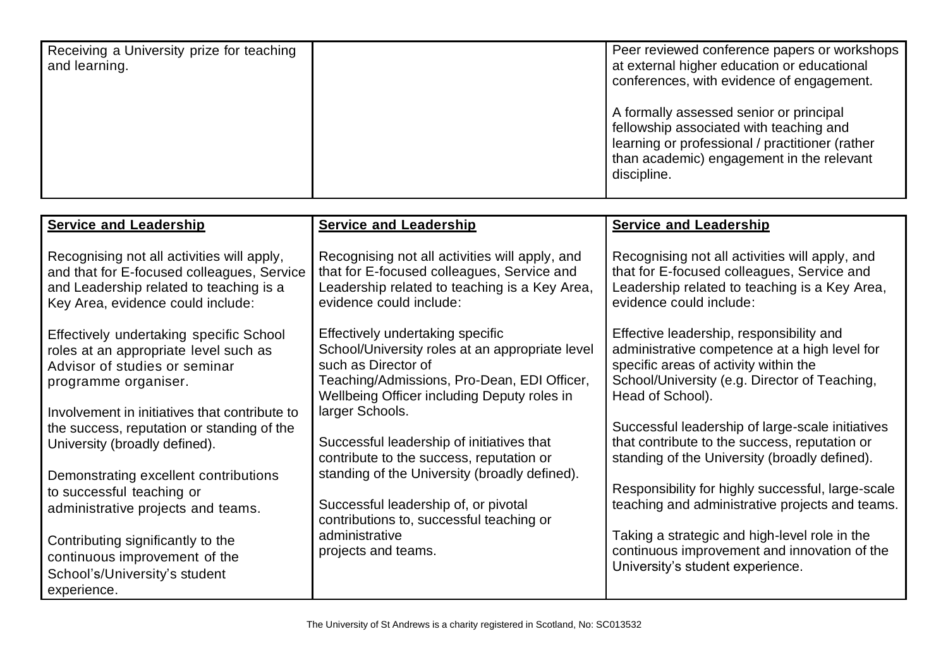| Receiving a University prize for teaching<br>and learning. | Peer reviewed conference papers or workshops<br>at external higher education or educational<br>conferences, with evidence of engagement.                                                          |
|------------------------------------------------------------|---------------------------------------------------------------------------------------------------------------------------------------------------------------------------------------------------|
|                                                            | A formally assessed senior or principal<br>fellowship associated with teaching and<br>learning or professional / practitioner (rather<br>than academic) engagement in the relevant<br>discipline. |

| <b>Service and Leadership</b>                                                                                                                                                                                                            | <b>Service and Leadership</b>                                                                                                                                                                                               | <b>Service and Leadership</b>                                                                                                                                                                                                                               |
|------------------------------------------------------------------------------------------------------------------------------------------------------------------------------------------------------------------------------------------|-----------------------------------------------------------------------------------------------------------------------------------------------------------------------------------------------------------------------------|-------------------------------------------------------------------------------------------------------------------------------------------------------------------------------------------------------------------------------------------------------------|
| Recognising not all activities will apply,<br>and that for E-focused colleagues, Service<br>and Leadership related to teaching is a<br>Key Area, evidence could include:                                                                 | Recognising not all activities will apply, and<br>that for E-focused colleagues, Service and<br>Leadership related to teaching is a Key Area,<br>evidence could include:                                                    | Recognising not all activities will apply, and<br>that for E-focused colleagues, Service and<br>Leadership related to teaching is a Key Area,<br>evidence could include:                                                                                    |
| Effectively undertaking specific School<br>roles at an appropriate level such as<br>Advisor of studies or seminar<br>programme organiser.<br>Involvement in initiatives that contribute to<br>the success, reputation or standing of the | Effectively undertaking specific<br>School/University roles at an appropriate level<br>such as Director of<br>Teaching/Admissions, Pro-Dean, EDI Officer,<br>Wellbeing Officer including Deputy roles in<br>larger Schools. | Effective leadership, responsibility and<br>administrative competence at a high level for<br>specific areas of activity within the<br>School/University (e.g. Director of Teaching,<br>Head of School).<br>Successful leadership of large-scale initiatives |
| University (broadly defined).                                                                                                                                                                                                            | Successful leadership of initiatives that<br>contribute to the success, reputation or                                                                                                                                       | that contribute to the success, reputation or<br>standing of the University (broadly defined).                                                                                                                                                              |
| Demonstrating excellent contributions<br>to successful teaching or<br>administrative projects and teams.                                                                                                                                 | standing of the University (broadly defined).<br>Successful leadership of, or pivotal<br>contributions to, successful teaching or                                                                                           | Responsibility for highly successful, large-scale<br>teaching and administrative projects and teams.                                                                                                                                                        |
| Contributing significantly to the<br>continuous improvement of the<br>School's/University's student<br>experience.                                                                                                                       | administrative<br>projects and teams.                                                                                                                                                                                       | Taking a strategic and high-level role in the<br>continuous improvement and innovation of the<br>University's student experience.                                                                                                                           |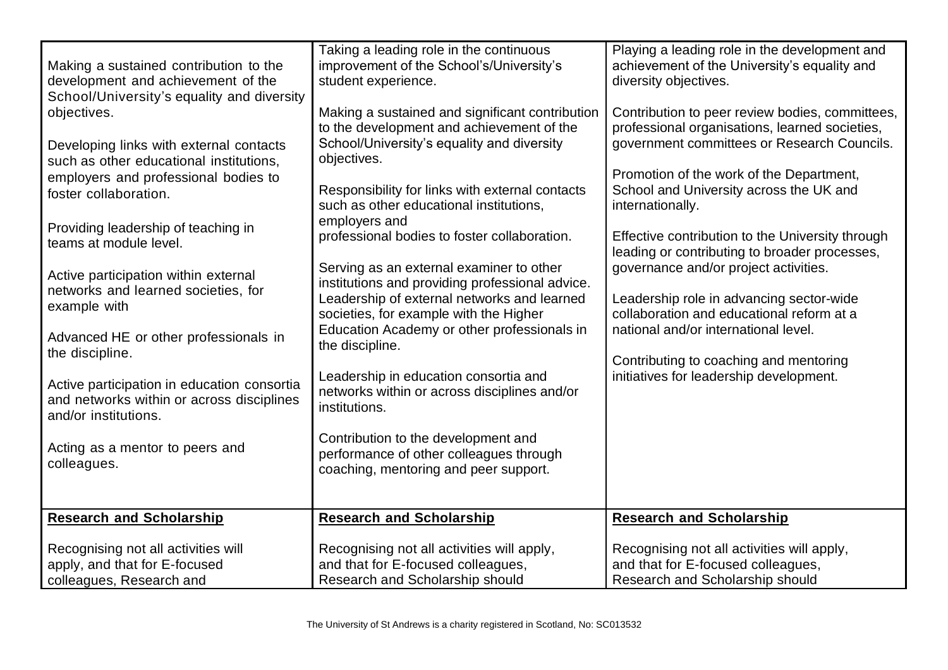| Making a sustained contribution to the<br>development and achievement of the<br>School/University's equality and diversity<br>objectives.<br>Developing links with external contacts<br>such as other educational institutions,<br>employers and professional bodies to<br>foster collaboration.<br>Providing leadership of teaching in<br>teams at module level.<br>Active participation within external<br>networks and learned societies, for<br>example with<br>Advanced HE or other professionals in<br>the discipline.<br>Active participation in education consortia<br>and networks within or across disciplines<br>and/or institutions.<br>Acting as a mentor to peers and<br>colleagues. | Taking a leading role in the continuous<br>improvement of the School's/University's<br>student experience.<br>Making a sustained and significant contribution<br>to the development and achievement of the<br>School/University's equality and diversity<br>objectives.<br>Responsibility for links with external contacts<br>such as other educational institutions,<br>employers and<br>professional bodies to foster collaboration.<br>Serving as an external examiner to other<br>institutions and providing professional advice.<br>Leadership of external networks and learned<br>societies, for example with the Higher<br>Education Academy or other professionals in<br>the discipline.<br>Leadership in education consortia and<br>networks within or across disciplines and/or<br>institutions.<br>Contribution to the development and<br>performance of other colleagues through<br>coaching, mentoring and peer support. | Playing a leading role in the development and<br>achievement of the University's equality and<br>diversity objectives.<br>Contribution to peer review bodies, committees,<br>professional organisations, learned societies,<br>government committees or Research Councils.<br>Promotion of the work of the Department,<br>School and University across the UK and<br>internationally.<br>Effective contribution to the University through<br>leading or contributing to broader processes,<br>governance and/or project activities.<br>Leadership role in advancing sector-wide<br>collaboration and educational reform at a<br>national and/or international level.<br>Contributing to coaching and mentoring<br>initiatives for leadership development. |
|----------------------------------------------------------------------------------------------------------------------------------------------------------------------------------------------------------------------------------------------------------------------------------------------------------------------------------------------------------------------------------------------------------------------------------------------------------------------------------------------------------------------------------------------------------------------------------------------------------------------------------------------------------------------------------------------------|---------------------------------------------------------------------------------------------------------------------------------------------------------------------------------------------------------------------------------------------------------------------------------------------------------------------------------------------------------------------------------------------------------------------------------------------------------------------------------------------------------------------------------------------------------------------------------------------------------------------------------------------------------------------------------------------------------------------------------------------------------------------------------------------------------------------------------------------------------------------------------------------------------------------------------------|-----------------------------------------------------------------------------------------------------------------------------------------------------------------------------------------------------------------------------------------------------------------------------------------------------------------------------------------------------------------------------------------------------------------------------------------------------------------------------------------------------------------------------------------------------------------------------------------------------------------------------------------------------------------------------------------------------------------------------------------------------------|
| <b>Research and Scholarship</b>                                                                                                                                                                                                                                                                                                                                                                                                                                                                                                                                                                                                                                                                    | <b>Research and Scholarship</b>                                                                                                                                                                                                                                                                                                                                                                                                                                                                                                                                                                                                                                                                                                                                                                                                                                                                                                       | <b>Research and Scholarship</b>                                                                                                                                                                                                                                                                                                                                                                                                                                                                                                                                                                                                                                                                                                                           |
| Recognising not all activities will<br>apply, and that for E-focused<br>colleagues, Research and                                                                                                                                                                                                                                                                                                                                                                                                                                                                                                                                                                                                   | Recognising not all activities will apply,<br>and that for E-focused colleagues,<br>Research and Scholarship should                                                                                                                                                                                                                                                                                                                                                                                                                                                                                                                                                                                                                                                                                                                                                                                                                   | Recognising not all activities will apply,<br>and that for E-focused colleagues,<br>Research and Scholarship should                                                                                                                                                                                                                                                                                                                                                                                                                                                                                                                                                                                                                                       |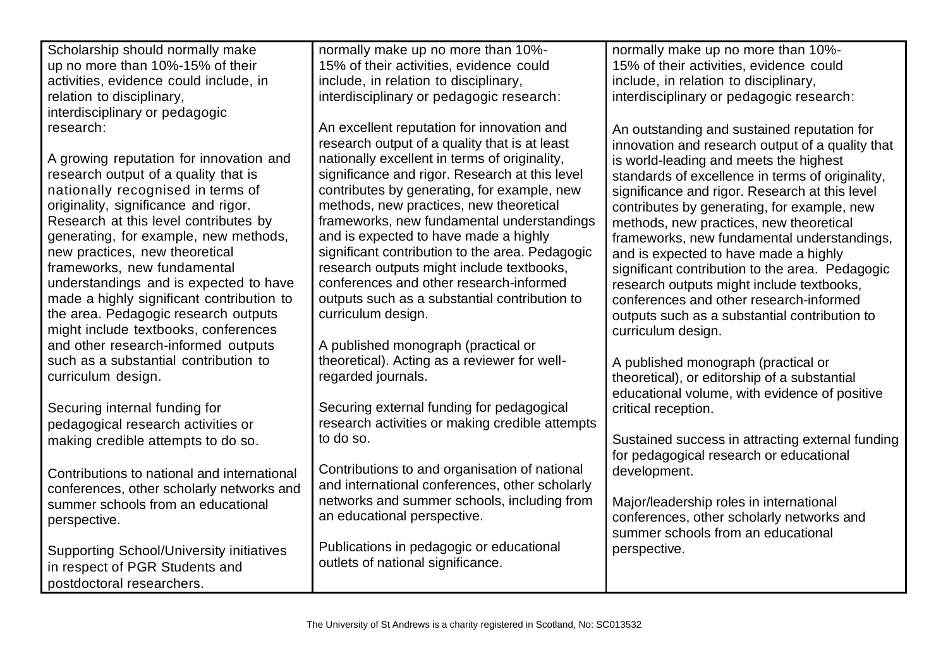| Scholarship should normally make                | normally make up no more than 10%-              | normally make up no more than 10%-               |
|-------------------------------------------------|-------------------------------------------------|--------------------------------------------------|
| up no more than 10%-15% of their                | 15% of their activities, evidence could         | 15% of their activities, evidence could          |
| activities, evidence could include, in          | include, in relation to disciplinary,           | include, in relation to disciplinary,            |
| relation to disciplinary,                       | interdisciplinary or pedagogic research:        | interdisciplinary or pedagogic research:         |
| interdisciplinary or pedagogic                  |                                                 |                                                  |
| research:                                       | An excellent reputation for innovation and      | An outstanding and sustained reputation for      |
|                                                 | research output of a quality that is at least   | innovation and research output of a quality that |
| A growing reputation for innovation and         | nationally excellent in terms of originality,   | is world-leading and meets the highest           |
| research output of a quality that is            | significance and rigor. Research at this level  | standards of excellence in terms of originality, |
| nationally recognised in terms of               | contributes by generating, for example, new     | significance and rigor. Research at this level   |
| originality, significance and rigor.            | methods, new practices, new theoretical         | contributes by generating, for example, new      |
| Research at this level contributes by           | frameworks, new fundamental understandings      | methods, new practices, new theoretical          |
| generating, for example, new methods,           | and is expected to have made a highly           | frameworks, new fundamental understandings,      |
| new practices, new theoretical                  | significant contribution to the area. Pedagogic | and is expected to have made a highly            |
| frameworks, new fundamental                     | research outputs might include textbooks,       | significant contribution to the area. Pedagogic  |
| understandings and is expected to have          | conferences and other research-informed         |                                                  |
| made a highly significant contribution to       | outputs such as a substantial contribution to   | research outputs might include textbooks,        |
| the area. Pedagogic research outputs            | curriculum design.                              | conferences and other research-informed          |
| might include textbooks, conferences            |                                                 | outputs such as a substantial contribution to    |
|                                                 |                                                 | curriculum design.                               |
| and other research-informed outputs             | A published monograph (practical or             |                                                  |
| such as a substantial contribution to           | theoretical). Acting as a reviewer for well-    | A published monograph (practical or              |
| curriculum design.                              | regarded journals.                              | theoretical), or editorship of a substantial     |
|                                                 |                                                 | educational volume, with evidence of positive    |
| Securing internal funding for                   | Securing external funding for pedagogical       | critical reception.                              |
| pedagogical research activities or              | research activities or making credible attempts |                                                  |
| making credible attempts to do so.              | to do so.                                       | Sustained success in attracting external funding |
|                                                 |                                                 | for pedagogical research or educational          |
| Contributions to national and international     | Contributions to and organisation of national   | development.                                     |
| conferences, other scholarly networks and       | and international conferences, other scholarly  |                                                  |
| summer schools from an educational              | networks and summer schools, including from     | Major/leadership roles in international          |
| perspective.                                    | an educational perspective.                     | conferences, other scholarly networks and        |
|                                                 |                                                 | summer schools from an educational               |
| <b>Supporting School/University initiatives</b> | Publications in pedagogic or educational        | perspective.                                     |
| in respect of PGR Students and                  | outlets of national significance.               |                                                  |
| postdoctoral researchers.                       |                                                 |                                                  |
|                                                 |                                                 |                                                  |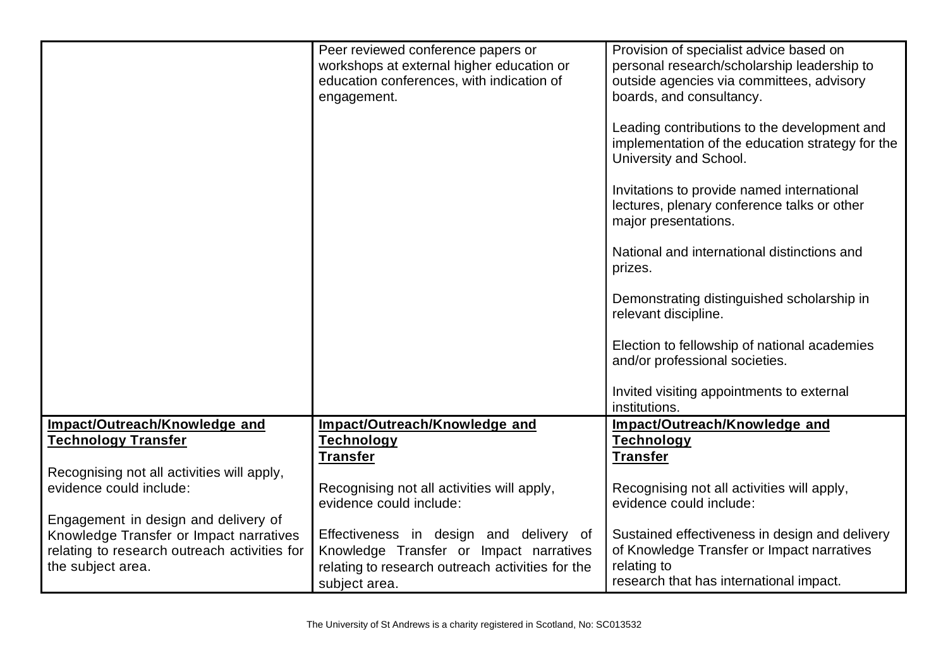|                                              | Peer reviewed conference papers or                                | Provision of specialist advice based on                                                                                    |
|----------------------------------------------|-------------------------------------------------------------------|----------------------------------------------------------------------------------------------------------------------------|
|                                              | workshops at external higher education or                         | personal research/scholarship leadership to                                                                                |
|                                              | education conferences, with indication of                         | outside agencies via committees, advisory                                                                                  |
|                                              | engagement.                                                       | boards, and consultancy.                                                                                                   |
|                                              |                                                                   |                                                                                                                            |
|                                              |                                                                   | Leading contributions to the development and<br>implementation of the education strategy for the<br>University and School. |
|                                              |                                                                   | Invitations to provide named international<br>lectures, plenary conference talks or other<br>major presentations.          |
|                                              |                                                                   | National and international distinctions and<br>prizes.                                                                     |
|                                              |                                                                   | Demonstrating distinguished scholarship in<br>relevant discipline.                                                         |
|                                              |                                                                   | Election to fellowship of national academies<br>and/or professional societies.                                             |
|                                              |                                                                   | Invited visiting appointments to external<br>institutions.                                                                 |
| Impact/Outreach/Knowledge and                | Impact/Outreach/Knowledge and                                     | Impact/Outreach/Knowledge and                                                                                              |
| <b>Technology Transfer</b>                   | <b>Technology</b>                                                 | <b>Technology</b>                                                                                                          |
|                                              | <b>Transfer</b>                                                   | <b>Transfer</b>                                                                                                            |
| Recognising not all activities will apply,   |                                                                   |                                                                                                                            |
| evidence could include:                      | Recognising not all activities will apply,                        | Recognising not all activities will apply,                                                                                 |
|                                              | evidence could include:                                           | evidence could include:                                                                                                    |
| Engagement in design and delivery of         |                                                                   |                                                                                                                            |
| Knowledge Transfer or Impact narratives      | Effectiveness in design and delivery of                           | Sustained effectiveness in design and delivery                                                                             |
| relating to research outreach activities for | Knowledge Transfer or Impact narratives                           | of Knowledge Transfer or Impact narratives                                                                                 |
| the subject area.                            | relating to research outreach activities for the<br>subject area. | relating to<br>research that has international impact.                                                                     |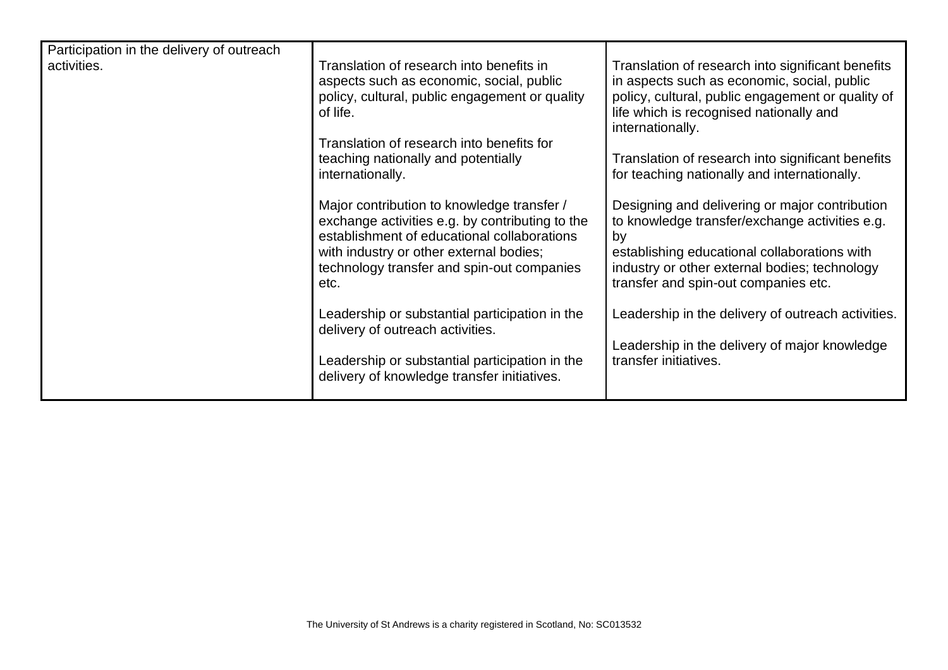| Participation in the delivery of outreach |                                                                                                                                                                                                                                               |                                                                                                                                                                                                                                                 |
|-------------------------------------------|-----------------------------------------------------------------------------------------------------------------------------------------------------------------------------------------------------------------------------------------------|-------------------------------------------------------------------------------------------------------------------------------------------------------------------------------------------------------------------------------------------------|
| activities.                               | Translation of research into benefits in<br>aspects such as economic, social, public<br>policy, cultural, public engagement or quality<br>of life.                                                                                            | Translation of research into significant benefits<br>in aspects such as economic, social, public<br>policy, cultural, public engagement or quality of<br>life which is recognised nationally and                                                |
|                                           | Translation of research into benefits for                                                                                                                                                                                                     | internationally.                                                                                                                                                                                                                                |
|                                           | teaching nationally and potentially<br>internationally.                                                                                                                                                                                       | Translation of research into significant benefits<br>for teaching nationally and internationally.                                                                                                                                               |
|                                           | Major contribution to knowledge transfer /<br>exchange activities e.g. by contributing to the<br>establishment of educational collaborations<br>with industry or other external bodies;<br>technology transfer and spin-out companies<br>etc. | Designing and delivering or major contribution<br>to knowledge transfer/exchange activities e.g.<br>by<br>establishing educational collaborations with<br>industry or other external bodies; technology<br>transfer and spin-out companies etc. |
|                                           | Leadership or substantial participation in the<br>delivery of outreach activities.                                                                                                                                                            | Leadership in the delivery of outreach activities.                                                                                                                                                                                              |
|                                           | Leadership or substantial participation in the<br>delivery of knowledge transfer initiatives.                                                                                                                                                 | Leadership in the delivery of major knowledge<br>transfer initiatives.                                                                                                                                                                          |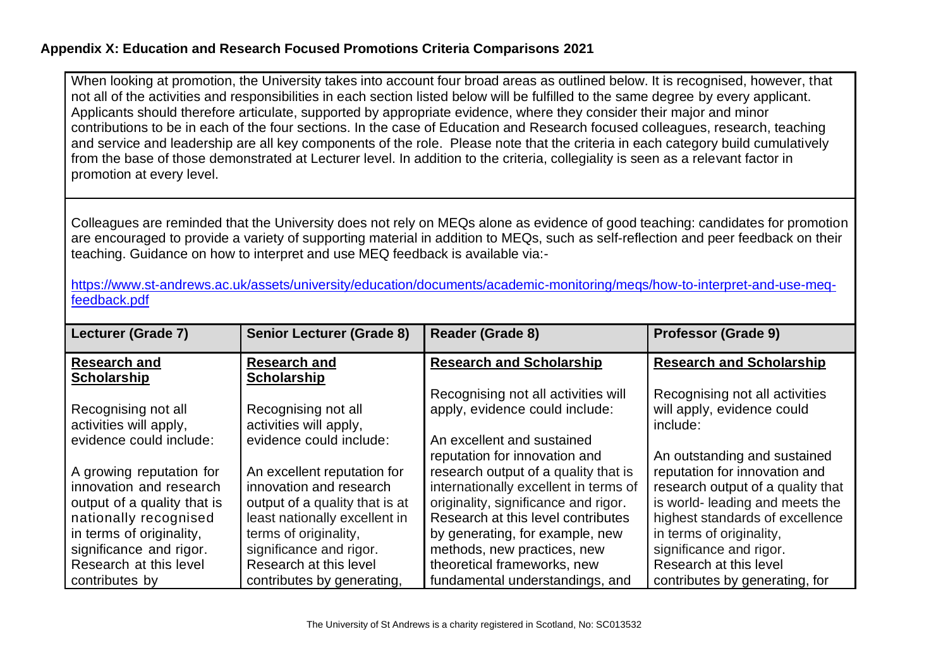#### **Appendix X: Education and Research Focused Promotions Criteria Comparisons 2021**

When looking at promotion, the University takes into account four broad areas as outlined below. It is recognised, however, that not all of the activities and responsibilities in each section listed below will be fulfilled to the same degree by every applicant. Applicants should therefore articulate, supported by appropriate evidence, where they consider their major and minor contributions to be in each of the four sections. In the case of Education and Research focused colleagues, research, teaching and service and leadership are all key components of the role. Please note that the criteria in each category build cumulatively from the base of those demonstrated at Lecturer level. In addition to the criteria, collegiality is seen as a relevant factor in promotion at every level.

Colleagues are reminded that the University does not rely on MEQs alone as evidence of good teaching: candidates for promotion are encouraged to provide a variety of supporting material in addition to MEQs, such as self-reflection and peer feedback on their teaching. Guidance on how to interpret and use MEQ feedback is available via:-

[https://www.st-andrews.ac.uk/assets/university/education/documents/academic-monitoring/meqs/how-to-interpret-and-use-meq](https://www.st-andrews.ac.uk/assets/university/education/documents/academic-monitoring/meqs/how-to-interpret-and-use-meq-feedback.pdf)[feedback.pdf](https://www.st-andrews.ac.uk/assets/university/education/documents/academic-monitoring/meqs/how-to-interpret-and-use-meq-feedback.pdf)

<span id="page-32-0"></span>

| Lecturer (Grade 7)          | <b>Senior Lecturer (Grade 8)</b> | Reader (Grade 8)                      | <b>Professor (Grade 9)</b>        |
|-----------------------------|----------------------------------|---------------------------------------|-----------------------------------|
| <b>Research and</b>         | <b>Research and</b>              | <b>Research and Scholarship</b>       | <b>Research and Scholarship</b>   |
| <b>Scholarship</b>          | <b>Scholarship</b>               |                                       |                                   |
|                             |                                  | Recognising not all activities will   | Recognising not all activities    |
| Recognising not all         | Recognising not all              | apply, evidence could include:        | will apply, evidence could        |
| activities will apply,      | activities will apply,           |                                       | include:                          |
| evidence could include:     | evidence could include:          | An excellent and sustained            |                                   |
|                             |                                  | reputation for innovation and         | An outstanding and sustained      |
| A growing reputation for    | An excellent reputation for      | research output of a quality that is  | reputation for innovation and     |
| innovation and research     | innovation and research          | internationally excellent in terms of | research output of a quality that |
| output of a quality that is | output of a quality that is at   | originality, significance and rigor.  | is world- leading and meets the   |
| nationally recognised       | least nationally excellent in    | Research at this level contributes    | highest standards of excellence   |
| in terms of originality,    | terms of originality,            | by generating, for example, new       | in terms of originality,          |
| significance and rigor.     | significance and rigor.          | methods, new practices, new           | significance and rigor.           |
| Research at this level      | Research at this level           | theoretical frameworks, new           | Research at this level            |
| contributes by              | contributes by generating,       | fundamental understandings, and       | contributes by generating, for    |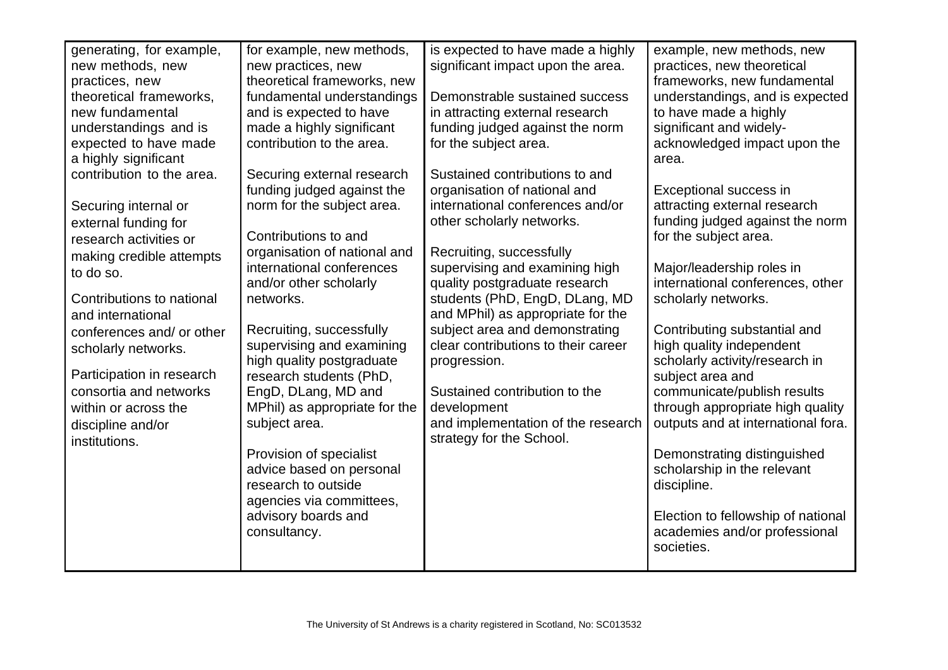| generating, for example,  | for example, new methods,           | is expected to have made a highly                               | example, new methods, new                               |
|---------------------------|-------------------------------------|-----------------------------------------------------------------|---------------------------------------------------------|
| new methods, new          | new practices, new                  | significant impact upon the area.                               | practices, new theoretical                              |
| practices, new            | theoretical frameworks, new         |                                                                 | frameworks, new fundamental                             |
| theoretical frameworks,   | fundamental understandings          | Demonstrable sustained success                                  | understandings, and is expected                         |
| new fundamental           | and is expected to have             | in attracting external research                                 | to have made a highly                                   |
| understandings and is     | made a highly significant           | funding judged against the norm                                 | significant and widely-                                 |
| expected to have made     | contribution to the area.           | for the subject area.                                           | acknowledged impact upon the                            |
| a highly significant      |                                     |                                                                 | area.                                                   |
| contribution to the area. | Securing external research          | Sustained contributions to and                                  |                                                         |
|                           | funding judged against the          | organisation of national and                                    | Exceptional success in                                  |
| Securing internal or      | norm for the subject area.          | international conferences and/or                                | attracting external research                            |
| external funding for      |                                     | other scholarly networks.                                       | funding judged against the norm                         |
| research activities or    | Contributions to and                |                                                                 | for the subject area.                                   |
| making credible attempts  | organisation of national and        | Recruiting, successfully                                        |                                                         |
| to do so.                 | international conferences           | supervising and examining high                                  | Major/leadership roles in                               |
| Contributions to national | and/or other scholarly<br>networks. | quality postgraduate research<br>students (PhD, EngD, DLang, MD | international conferences, other<br>scholarly networks. |
|                           |                                     | and MPhil) as appropriate for the                               |                                                         |
| and international         | Recruiting, successfully            | subject area and demonstrating                                  | Contributing substantial and                            |
| conferences and/ or other | supervising and examining           | clear contributions to their career                             | high quality independent                                |
| scholarly networks.       | high quality postgraduate           | progression.                                                    | scholarly activity/research in                          |
| Participation in research | research students (PhD,             |                                                                 | subject area and                                        |
| consortia and networks    | EngD, DLang, MD and                 | Sustained contribution to the                                   | communicate/publish results                             |
| within or across the      | MPhil) as appropriate for the       | development                                                     | through appropriate high quality                        |
| discipline and/or         | subject area.                       | and implementation of the research                              | outputs and at international fora.                      |
| institutions.             |                                     | strategy for the School.                                        |                                                         |
|                           | Provision of specialist             |                                                                 | Demonstrating distinguished                             |
|                           | advice based on personal            |                                                                 | scholarship in the relevant                             |
|                           | research to outside                 |                                                                 | discipline.                                             |
|                           | agencies via committees,            |                                                                 |                                                         |
|                           | advisory boards and                 |                                                                 | Election to fellowship of national                      |
|                           | consultancy.                        |                                                                 | academies and/or professional                           |
|                           |                                     |                                                                 | societies.                                              |
|                           |                                     |                                                                 |                                                         |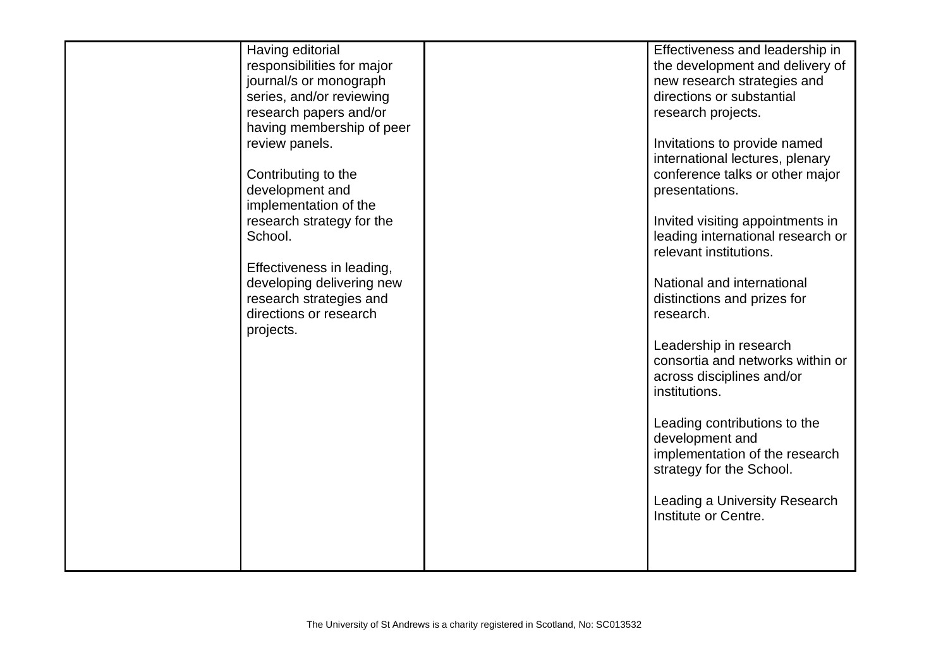| School.<br>projects. | Having editorial<br>responsibilities for major<br>journal/s or monograph<br>series, and/or reviewing<br>research papers and/or<br>having membership of peer<br>review panels.<br>Contributing to the<br>development and<br>implementation of the<br>research strategy for the<br>Effectiveness in leading,<br>developing delivering new<br>research strategies and<br>directions or research |  | Effectiveness and leadership in<br>the development and delivery of<br>new research strategies and<br>directions or substantial<br>research projects.<br>Invitations to provide named<br>international lectures, plenary<br>conference talks or other major<br>presentations.<br>Invited visiting appointments in<br>leading international research or<br>relevant institutions.<br>National and international<br>distinctions and prizes for<br>research.<br>Leadership in research<br>consortia and networks within or<br>across disciplines and/or<br>institutions.<br>Leading contributions to the<br>development and<br>implementation of the research<br>strategy for the School.<br>Leading a University Research<br>Institute or Centre. |
|----------------------|----------------------------------------------------------------------------------------------------------------------------------------------------------------------------------------------------------------------------------------------------------------------------------------------------------------------------------------------------------------------------------------------|--|-------------------------------------------------------------------------------------------------------------------------------------------------------------------------------------------------------------------------------------------------------------------------------------------------------------------------------------------------------------------------------------------------------------------------------------------------------------------------------------------------------------------------------------------------------------------------------------------------------------------------------------------------------------------------------------------------------------------------------------------------|
|----------------------|----------------------------------------------------------------------------------------------------------------------------------------------------------------------------------------------------------------------------------------------------------------------------------------------------------------------------------------------------------------------------------------------|--|-------------------------------------------------------------------------------------------------------------------------------------------------------------------------------------------------------------------------------------------------------------------------------------------------------------------------------------------------------------------------------------------------------------------------------------------------------------------------------------------------------------------------------------------------------------------------------------------------------------------------------------------------------------------------------------------------------------------------------------------------|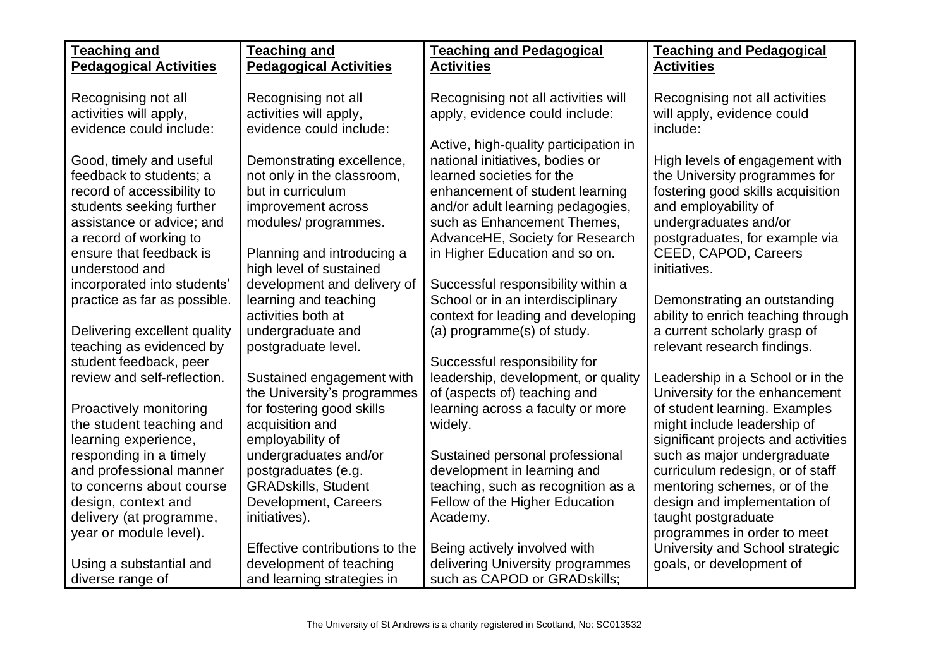| <b>Teaching and</b>                                                                                                                       | <b>Teaching and</b>                                                                                                       | <b>Teaching and Pedagogical</b>                                                                                                                                                                              | <b>Teaching and Pedagogical</b>                                                                                                                       |
|-------------------------------------------------------------------------------------------------------------------------------------------|---------------------------------------------------------------------------------------------------------------------------|--------------------------------------------------------------------------------------------------------------------------------------------------------------------------------------------------------------|-------------------------------------------------------------------------------------------------------------------------------------------------------|
| <b>Pedagogical Activities</b>                                                                                                             | <b>Pedagogical Activities</b>                                                                                             | <b>Activities</b>                                                                                                                                                                                            | <b>Activities</b>                                                                                                                                     |
| Recognising not all<br>activities will apply,<br>evidence could include:                                                                  | Recognising not all<br>activities will apply,<br>evidence could include:                                                  | Recognising not all activities will<br>apply, evidence could include:                                                                                                                                        | Recognising not all activities<br>will apply, evidence could<br>include:                                                                              |
| Good, timely and useful<br>feedback to students; a<br>record of accessibility to<br>students seeking further<br>assistance or advice; and | Demonstrating excellence,<br>not only in the classroom,<br>but in curriculum<br>improvement across<br>modules/programmes. | Active, high-quality participation in<br>national initiatives, bodies or<br>learned societies for the<br>enhancement of student learning<br>and/or adult learning pedagogies,<br>such as Enhancement Themes, | High levels of engagement with<br>the University programmes for<br>fostering good skills acquisition<br>and employability of<br>undergraduates and/or |
| a record of working to<br>ensure that feedback is<br>understood and                                                                       | Planning and introducing a<br>high level of sustained                                                                     | AdvanceHE, Society for Research<br>in Higher Education and so on.                                                                                                                                            | postgraduates, for example via<br>CEED, CAPOD, Careers<br>initiatives.                                                                                |
| incorporated into students'<br>practice as far as possible.                                                                               | development and delivery of<br>learning and teaching<br>activities both at                                                | Successful responsibility within a<br>School or in an interdisciplinary<br>context for leading and developing                                                                                                | Demonstrating an outstanding<br>ability to enrich teaching through                                                                                    |
| Delivering excellent quality<br>teaching as evidenced by                                                                                  | undergraduate and<br>postgraduate level.                                                                                  | (a) programme(s) of study.                                                                                                                                                                                   | a current scholarly grasp of<br>relevant research findings.                                                                                           |
| student feedback, peer<br>review and self-reflection.                                                                                     | Sustained engagement with                                                                                                 | Successful responsibility for<br>leadership, development, or quality<br>of (aspects of) teaching and                                                                                                         | Leadership in a School or in the<br>University for the enhancement                                                                                    |
| Proactively monitoring<br>the student teaching and<br>learning experience,                                                                | the University's programmes<br>for fostering good skills<br>acquisition and<br>employability of                           | learning across a faculty or more<br>widely.                                                                                                                                                                 | of student learning. Examples<br>might include leadership of<br>significant projects and activities                                                   |
| responding in a timely<br>and professional manner                                                                                         | undergraduates and/or<br>postgraduates (e.g.                                                                              | Sustained personal professional<br>development in learning and                                                                                                                                               | such as major undergraduate<br>curriculum redesign, or of staff                                                                                       |
| to concerns about course<br>design, context and<br>delivery (at programme,<br>year or module level).                                      | <b>GRADskills, Student</b><br>Development, Careers<br>initiatives).                                                       | teaching, such as recognition as a<br>Fellow of the Higher Education<br>Academy.                                                                                                                             | mentoring schemes, or of the<br>design and implementation of<br>taught postgraduate<br>programmes in order to meet                                    |
| Using a substantial and<br>diverse range of                                                                                               | Effective contributions to the<br>development of teaching<br>and learning strategies in                                   | Being actively involved with<br>delivering University programmes<br>such as CAPOD or GRADskills;                                                                                                             | University and School strategic<br>goals, or development of                                                                                           |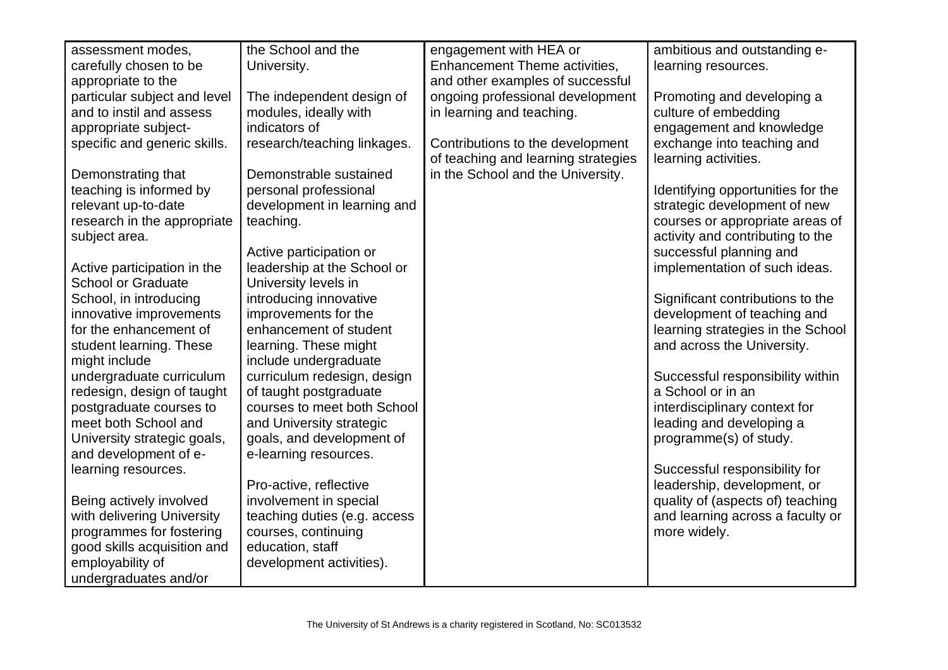| assessment modes,            | the School and the           | engagement with HEA or              | ambitious and outstanding e-      |
|------------------------------|------------------------------|-------------------------------------|-----------------------------------|
| carefully chosen to be       | University.                  | Enhancement Theme activities,       | learning resources.               |
| appropriate to the           |                              | and other examples of successful    |                                   |
| particular subject and level | The independent design of    | ongoing professional development    | Promoting and developing a        |
| and to instil and assess     | modules, ideally with        | in learning and teaching.           | culture of embedding              |
| appropriate subject-         | indicators of                |                                     | engagement and knowledge          |
| specific and generic skills. | research/teaching linkages.  | Contributions to the development    | exchange into teaching and        |
|                              |                              | of teaching and learning strategies | learning activities.              |
| Demonstrating that           | Demonstrable sustained       | in the School and the University.   |                                   |
| teaching is informed by      | personal professional        |                                     | Identifying opportunities for the |
| relevant up-to-date          | development in learning and  |                                     | strategic development of new      |
| research in the appropriate  | teaching.                    |                                     | courses or appropriate areas of   |
| subject area.                |                              |                                     | activity and contributing to the  |
|                              | Active participation or      |                                     | successful planning and           |
| Active participation in the  | leadership at the School or  |                                     | implementation of such ideas.     |
| <b>School or Graduate</b>    | University levels in         |                                     |                                   |
| School, in introducing       | introducing innovative       |                                     | Significant contributions to the  |
| innovative improvements      | improvements for the         |                                     | development of teaching and       |
| for the enhancement of       | enhancement of student       |                                     | learning strategies in the School |
| student learning. These      | learning. These might        |                                     | and across the University.        |
| might include                | include undergraduate        |                                     |                                   |
| undergraduate curriculum     | curriculum redesign, design  |                                     | Successful responsibility within  |
| redesign, design of taught   | of taught postgraduate       |                                     | a School or in an                 |
| postgraduate courses to      | courses to meet both School  |                                     | interdisciplinary context for     |
| meet both School and         | and University strategic     |                                     | leading and developing a          |
| University strategic goals,  | goals, and development of    |                                     | programme(s) of study.            |
| and development of e-        | e-learning resources.        |                                     |                                   |
| learning resources.          |                              |                                     | Successful responsibility for     |
|                              | Pro-active, reflective       |                                     | leadership, development, or       |
| Being actively involved      | involvement in special       |                                     | quality of (aspects of) teaching  |
| with delivering University   | teaching duties (e.g. access |                                     | and learning across a faculty or  |
| programmes for fostering     | courses, continuing          |                                     | more widely.                      |
| good skills acquisition and  | education, staff             |                                     |                                   |
| employability of             | development activities).     |                                     |                                   |
| undergraduates and/or        |                              |                                     |                                   |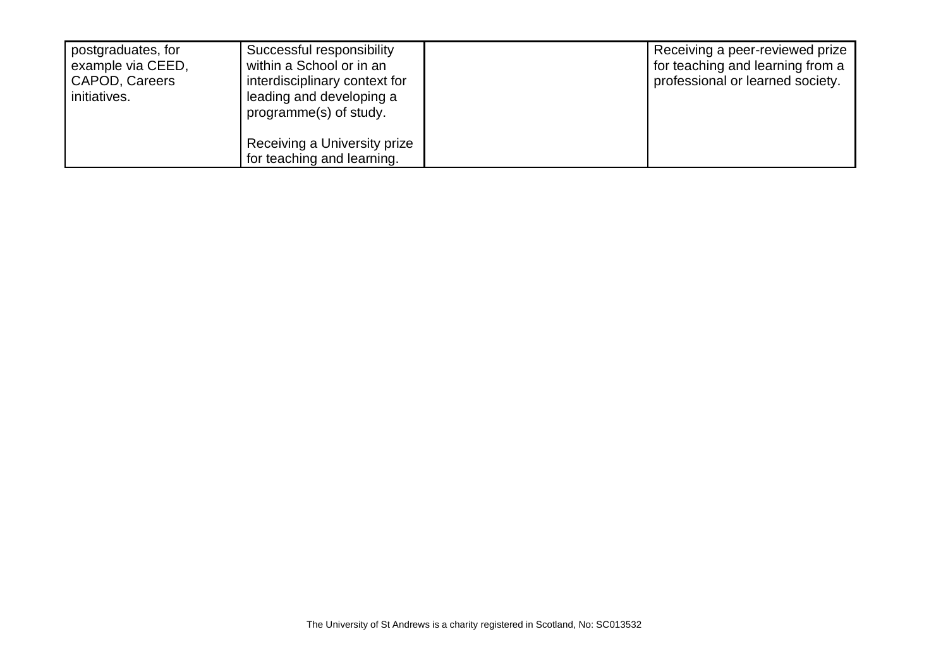| postgraduates, for<br>example via CEED,<br>CAPOD, Careers<br>initiatives. | Successful responsibility<br>within a School or in an<br>interdisciplinary context for<br>leading and developing a<br>programme(s) of study. | Receiving a peer-reviewed prize<br>for teaching and learning from a<br>professional or learned society. |
|---------------------------------------------------------------------------|----------------------------------------------------------------------------------------------------------------------------------------------|---------------------------------------------------------------------------------------------------------|
|                                                                           | Receiving a University prize<br>for teaching and learning.                                                                                   |                                                                                                         |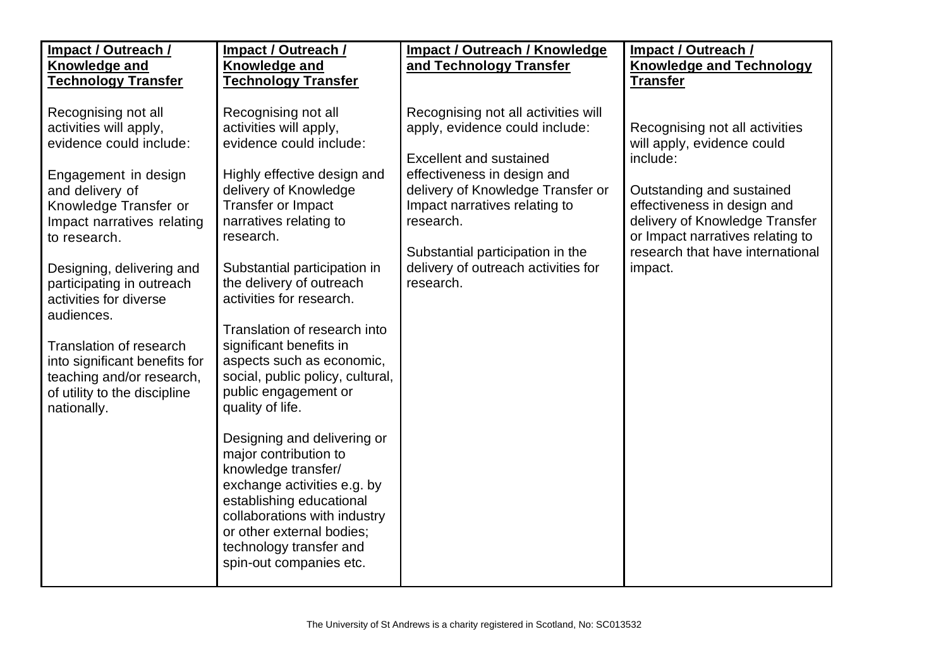| Impact / Outreach /<br><b>Knowledge and</b>                                                                                                                                                                                                                                                                                                                                                                                                 | Impact / Outreach /<br><b>Knowledge and</b>                                                                                                                                                                                                                                                                                                                                                                                                                                                                                                                                                                                                                                                                                | <b>Impact / Outreach / Knowledge</b><br>and Technology Transfer                                                                                                                                                                                                                                                   | Impact / Outreach /<br><b>Knowledge and Technology</b>                                                                                                                                                                                                    |
|---------------------------------------------------------------------------------------------------------------------------------------------------------------------------------------------------------------------------------------------------------------------------------------------------------------------------------------------------------------------------------------------------------------------------------------------|----------------------------------------------------------------------------------------------------------------------------------------------------------------------------------------------------------------------------------------------------------------------------------------------------------------------------------------------------------------------------------------------------------------------------------------------------------------------------------------------------------------------------------------------------------------------------------------------------------------------------------------------------------------------------------------------------------------------------|-------------------------------------------------------------------------------------------------------------------------------------------------------------------------------------------------------------------------------------------------------------------------------------------------------------------|-----------------------------------------------------------------------------------------------------------------------------------------------------------------------------------------------------------------------------------------------------------|
| <b>Technology Transfer</b>                                                                                                                                                                                                                                                                                                                                                                                                                  | <b>Technology Transfer</b>                                                                                                                                                                                                                                                                                                                                                                                                                                                                                                                                                                                                                                                                                                 |                                                                                                                                                                                                                                                                                                                   | <b>Transfer</b>                                                                                                                                                                                                                                           |
| Recognising not all<br>activities will apply,<br>evidence could include:<br>Engagement in design<br>and delivery of<br>Knowledge Transfer or<br>Impact narratives relating<br>to research.<br>Designing, delivering and<br>participating in outreach<br>activities for diverse<br>audiences.<br><b>Translation of research</b><br>into significant benefits for<br>teaching and/or research,<br>of utility to the discipline<br>nationally. | Recognising not all<br>activities will apply,<br>evidence could include:<br>Highly effective design and<br>delivery of Knowledge<br>Transfer or Impact<br>narratives relating to<br>research.<br>Substantial participation in<br>the delivery of outreach<br>activities for research.<br>Translation of research into<br>significant benefits in<br>aspects such as economic,<br>social, public policy, cultural,<br>public engagement or<br>quality of life.<br>Designing and delivering or<br>major contribution to<br>knowledge transfer/<br>exchange activities e.g. by<br>establishing educational<br>collaborations with industry<br>or other external bodies;<br>technology transfer and<br>spin-out companies etc. | Recognising not all activities will<br>apply, evidence could include:<br><b>Excellent and sustained</b><br>effectiveness in design and<br>delivery of Knowledge Transfer or<br>Impact narratives relating to<br>research.<br>Substantial participation in the<br>delivery of outreach activities for<br>research. | Recognising not all activities<br>will apply, evidence could<br>include:<br>Outstanding and sustained<br>effectiveness in design and<br>delivery of Knowledge Transfer<br>or Impact narratives relating to<br>research that have international<br>impact. |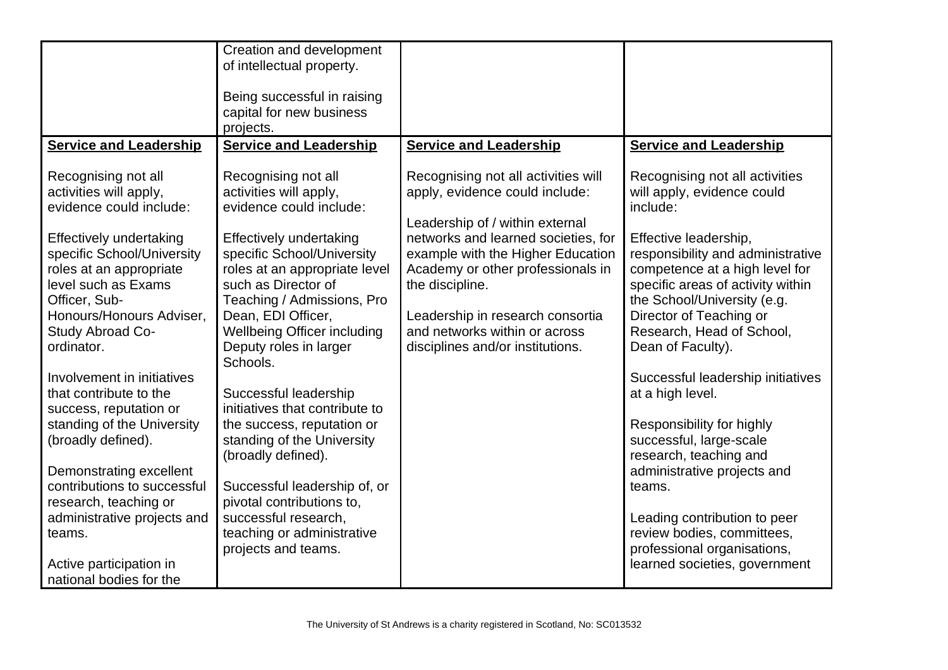|                                                                                                                                                                                                                                                                                                                                                                                                                                                                                                                                                                                                   | Creation and development<br>of intellectual property.<br>Being successful in raising<br>capital for new business                                                                                                                                                                                                                                                                                                                                                                                                                                                                                                        |                                                                                                                                                                                                                                                                                                                                                       |                                                                                                                                                                                                                                                                                                                                                                                                                                                                                                                                                                                                                                             |
|---------------------------------------------------------------------------------------------------------------------------------------------------------------------------------------------------------------------------------------------------------------------------------------------------------------------------------------------------------------------------------------------------------------------------------------------------------------------------------------------------------------------------------------------------------------------------------------------------|-------------------------------------------------------------------------------------------------------------------------------------------------------------------------------------------------------------------------------------------------------------------------------------------------------------------------------------------------------------------------------------------------------------------------------------------------------------------------------------------------------------------------------------------------------------------------------------------------------------------------|-------------------------------------------------------------------------------------------------------------------------------------------------------------------------------------------------------------------------------------------------------------------------------------------------------------------------------------------------------|---------------------------------------------------------------------------------------------------------------------------------------------------------------------------------------------------------------------------------------------------------------------------------------------------------------------------------------------------------------------------------------------------------------------------------------------------------------------------------------------------------------------------------------------------------------------------------------------------------------------------------------------|
|                                                                                                                                                                                                                                                                                                                                                                                                                                                                                                                                                                                                   | projects.                                                                                                                                                                                                                                                                                                                                                                                                                                                                                                                                                                                                               |                                                                                                                                                                                                                                                                                                                                                       |                                                                                                                                                                                                                                                                                                                                                                                                                                                                                                                                                                                                                                             |
| <b>Service and Leadership</b>                                                                                                                                                                                                                                                                                                                                                                                                                                                                                                                                                                     | <b>Service and Leadership</b>                                                                                                                                                                                                                                                                                                                                                                                                                                                                                                                                                                                           | <b>Service and Leadership</b>                                                                                                                                                                                                                                                                                                                         | <b>Service and Leadership</b>                                                                                                                                                                                                                                                                                                                                                                                                                                                                                                                                                                                                               |
| Recognising not all<br>activities will apply,<br>evidence could include:<br><b>Effectively undertaking</b><br>specific School/University<br>roles at an appropriate<br>level such as Exams<br>Officer, Sub-<br>Honours/Honours Adviser.<br>Study Abroad Co-<br>ordinator.<br>Involvement in initiatives<br>that contribute to the<br>success, reputation or<br>standing of the University<br>(broadly defined).<br>Demonstrating excellent<br>contributions to successful<br>research, teaching or<br>administrative projects and<br>teams.<br>Active participation in<br>national bodies for the | Recognising not all<br>activities will apply,<br>evidence could include:<br><b>Effectively undertaking</b><br>specific School/University<br>roles at an appropriate level<br>such as Director of<br>Teaching / Admissions, Pro<br>Dean, EDI Officer,<br><b>Wellbeing Officer including</b><br>Deputy roles in larger<br>Schools.<br>Successful leadership<br>initiatives that contribute to<br>the success, reputation or<br>standing of the University<br>(broadly defined).<br>Successful leadership of, or<br>pivotal contributions to,<br>successful research,<br>teaching or administrative<br>projects and teams. | Recognising not all activities will<br>apply, evidence could include:<br>Leadership of / within external<br>networks and learned societies, for<br>example with the Higher Education<br>Academy or other professionals in<br>the discipline.<br>Leadership in research consortia<br>and networks within or across<br>disciplines and/or institutions. | Recognising not all activities<br>will apply, evidence could<br>include:<br>Effective leadership,<br>responsibility and administrative<br>competence at a high level for<br>specific areas of activity within<br>the School/University (e.g.<br>Director of Teaching or<br>Research, Head of School,<br>Dean of Faculty).<br>Successful leadership initiatives<br>at a high level.<br>Responsibility for highly<br>successful, large-scale<br>research, teaching and<br>administrative projects and<br>teams.<br>Leading contribution to peer<br>review bodies, committees,<br>professional organisations,<br>learned societies, government |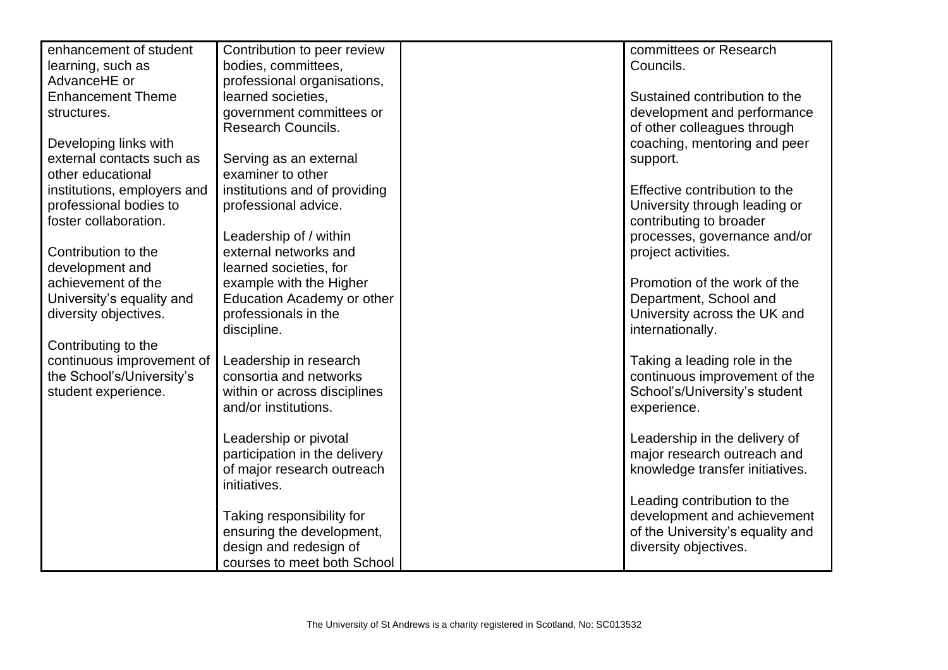| enhancement of student      | Contribution to peer review                | committees or Research           |
|-----------------------------|--------------------------------------------|----------------------------------|
| learning, such as           | bodies, committees,                        | Councils.                        |
| AdvanceHE or                | professional organisations,                |                                  |
| <b>Enhancement Theme</b>    | learned societies,                         | Sustained contribution to the    |
| structures.                 | government committees or                   | development and performance      |
|                             | <b>Research Councils.</b>                  | of other colleagues through      |
| Developing links with       |                                            | coaching, mentoring and peer     |
| external contacts such as   | Serving as an external                     | support.                         |
| other educational           | examiner to other                          |                                  |
| institutions, employers and | institutions and of providing              | Effective contribution to the    |
| professional bodies to      | professional advice.                       | University through leading or    |
| foster collaboration.       |                                            | contributing to broader          |
|                             | Leadership of / within                     | processes, governance and/or     |
| Contribution to the         | external networks and                      | project activities.              |
| development and             | learned societies, for                     |                                  |
| achievement of the          | example with the Higher                    | Promotion of the work of the     |
| University's equality and   | Education Academy or other                 | Department, School and           |
| diversity objectives.       | professionals in the                       | University across the UK and     |
|                             | discipline.                                | internationally.                 |
| Contributing to the         |                                            |                                  |
| continuous improvement of   | Leadership in research                     | Taking a leading role in the     |
| the School's/University's   | consortia and networks                     | continuous improvement of the    |
| student experience.         | within or across disciplines               | School's/University's student    |
|                             | and/or institutions.                       | experience.                      |
|                             |                                            |                                  |
|                             | Leadership or pivotal                      | Leadership in the delivery of    |
|                             | participation in the delivery              | major research outreach and      |
|                             | of major research outreach<br>initiatives. | knowledge transfer initiatives.  |
|                             |                                            | Leading contribution to the      |
|                             | Taking responsibility for                  | development and achievement      |
|                             | ensuring the development,                  | of the University's equality and |
|                             | design and redesign of                     | diversity objectives.            |
|                             | courses to meet both School                |                                  |
|                             |                                            |                                  |